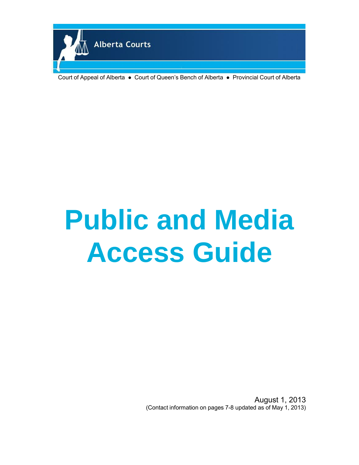

Court of Appeal of Alberta ● Court of Queen's Bench of Alberta ● Provincial Court of Alberta

# **Public and Media Access Guide**

August 1, 2013 (Contact information on pages 7-8 updated as of May 1, 2013)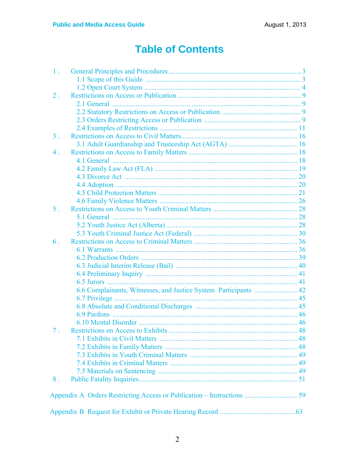# **Table of Contents**

| 1 <sub>1</sub> |                                                                        |  |
|----------------|------------------------------------------------------------------------|--|
|                |                                                                        |  |
|                |                                                                        |  |
| $2$ .          |                                                                        |  |
|                |                                                                        |  |
|                |                                                                        |  |
|                |                                                                        |  |
|                |                                                                        |  |
| $3$ .          |                                                                        |  |
|                |                                                                        |  |
| 4.             |                                                                        |  |
|                |                                                                        |  |
|                |                                                                        |  |
|                |                                                                        |  |
|                |                                                                        |  |
|                |                                                                        |  |
|                |                                                                        |  |
| 5.             |                                                                        |  |
|                |                                                                        |  |
|                |                                                                        |  |
|                |                                                                        |  |
| 6 <sub>1</sub> |                                                                        |  |
|                |                                                                        |  |
|                |                                                                        |  |
|                |                                                                        |  |
|                |                                                                        |  |
|                |                                                                        |  |
|                | 6.6 Complainants, Witnesses, and Justice System Participants  42       |  |
|                |                                                                        |  |
|                |                                                                        |  |
|                |                                                                        |  |
|                |                                                                        |  |
|                |                                                                        |  |
|                |                                                                        |  |
|                |                                                                        |  |
|                |                                                                        |  |
|                |                                                                        |  |
|                |                                                                        |  |
| 8 <sup>1</sup> |                                                                        |  |
|                |                                                                        |  |
|                | Appendix A Orders Restricting Access or Publication - Instructions  59 |  |
|                |                                                                        |  |
|                |                                                                        |  |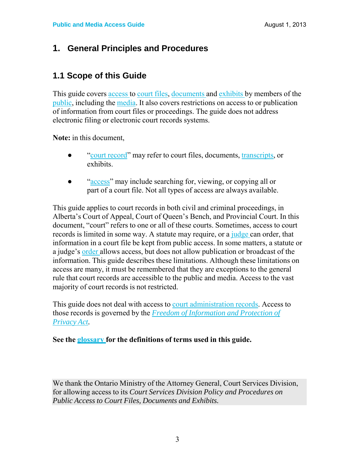### **1. General Principles and Procedures**

### **1.1 Scope of this Guide**

This guide covers access to court files, documents and exhibits by members of the public, including the media. It also covers restrictions on access to or publication of information from court files or proceedings. The guide does not address electronic filing or electronic court records systems.

**Note:** in this document,

- "court record" may refer to court files, documents, transcripts, or exhibits.
- "access" may include searching for, viewing, or copying all or part of a court file. Not all types of access are always available.

This guide applies to court records in both civil and criminal proceedings, in Alberta's Court of Appeal, Court of Queen's Bench, and Provincial Court. In this document, "court" refers to one or all of these courts. Sometimes, access to court records is limited in some way. A statute may require, or a judge can order, that information in a court file be kept from public access. In some matters, a statute or a judge's order allows access, but does not allow publication or broadcast of the information. This guide describes these limitations. Although these limitations on access are many, it must be remembered that they are exceptions to the general rule that court records are accessible to the public and media. Access to the vast majority of court records is not restricted.

This guide does not deal with access to court administration records. Access to those records is governed by the *Freedom of Information and Protection of Privacy Act.*

#### **See the glossary for the definitions of terms used in this guide.**

We thank the Ontario Ministry of the Attorney General, Court Services Division, for allowing access to its *Court Services Division Policy and Procedures on Public Access to Court Files, Documents and Exhibits.*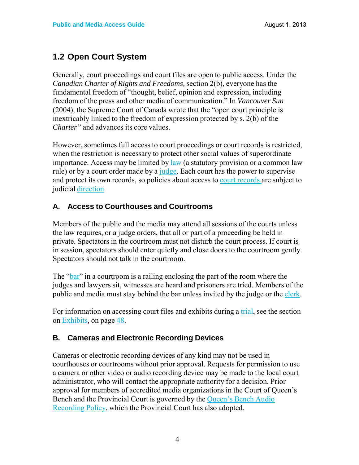### **1.2 Open Court System**

Generally, court proceedings and court files are open to public access. Under the *Canadian Charter of Rights and Freedoms,* section 2(b), everyone has the fundamental freedom of "thought, belief, opinion and expression, including freedom of the press and other media of communication." In *Vancouver Sun* (2004)*,* the Supreme Court of Canada wrote that the "open court principle is inextricably linked to the freedom of expression protected by s. 2(b) of the *Charter"* and advances its core values.

However, sometimes full access to court proceedings or court records is restricted, when the restriction is necessary to protect other social values of superordinate importance. Access may be limited by law (a statutory provision or a common law rule) or by a court order made by a judge. Each court has the power to supervise and protect its own records, so policies about access to court records are subject to judicial direction.

### **A. Access to Courthouses and Courtrooms**

Members of the public and the media may attend all sessions of the courts unless the law requires, or a judge orders, that all or part of a proceeding be held in private. Spectators in the courtroom must not disturb the court process. If court is in session, spectators should enter quietly and close doors to the courtroom gently. Spectators should not talk in the courtroom.

The "bar" in a courtroom is a railing enclosing the part of the room where the judges and lawyers sit, witnesses are heard and prisoners are tried. Members of the public and media must stay behind the bar unless invited by the judge or the clerk.

For information on accessing court files and exhibits during a trial, see the section on Exhibits, on page 48.

#### **B. Cameras and Electronic Recording Devices**

Cameras or electronic recording devices of any kind may not be used in courthouses or courtrooms without prior approval. Requests for permission to use a camera or other video or audio recording device may be made to the local court administrator, who will contact the appropriate authority for a decision. Prior approval for members of accredited media organizations in the Court of Queen's Bench and the Provincial Court is governed by the Queen's Bench Audio Recording Policy, which the Provincial Court has also adopted.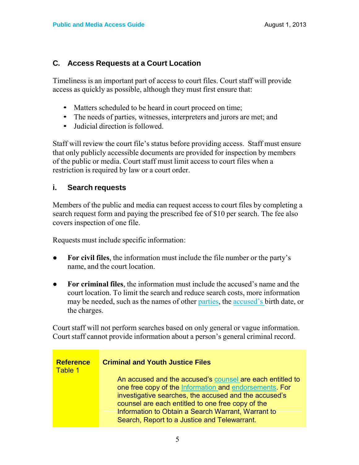#### **C. Access Requests at a Court Location**

Timeliness is an important part of access to court files. Court staff will provide access as quickly as possible, although they must first ensure that:

- Matters scheduled to be heard in court proceed on time;
- The needs of parties, witnesses, interpreters and jurors are met; and
- Judicial direction is followed.

Staff will review the court file's status before providing access. Staff must ensure that only publicly accessible documents are provided for inspection by members of the public or media. Court staff must limit access to court files when a restriction is required by law or a court order.

#### **i. Search requests**

Members of the public and media can request access to court files by completing a search request form and paying the prescribed fee of \$10 per search. The fee also covers inspection of one file.

Requests must include specific information:

- **For civil files**, the information must include the file number or the party's name, and the court location.
- **For criminal files**, the information must include the accused's name and the court location. To limit the search and reduce search costs, more information may be needed, such as the names of other parties, the accused's birth date, or the charges.

Court staff will not perform searches based on only general or vague information. Court staff cannot provide information about a person's general criminal record.

| <b>Reference</b><br>Table 1 | <b>Criminal and Youth Justice Files</b>                                                                                                                                                                                                                                                                                                 |
|-----------------------------|-----------------------------------------------------------------------------------------------------------------------------------------------------------------------------------------------------------------------------------------------------------------------------------------------------------------------------------------|
|                             | An accused and the accused's counsel are each entitled to<br>one free copy of the Information and endorsements. For<br>investigative searches, the accused and the accused's<br>counsel are each entitled to one free copy of the<br>Information to Obtain a Search Warrant, Warrant to<br>Search, Report to a Justice and Telewarrant. |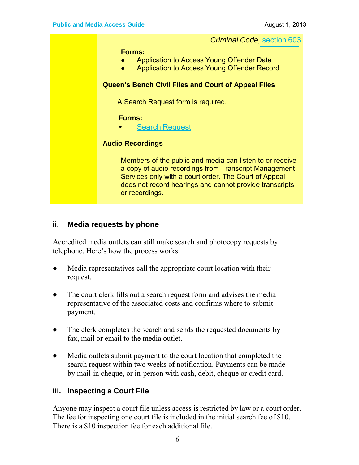*Criminal Code,* section 603

**Forms:**

- Application to Access Young Offender Data
- Application to Access Young Offender Record

#### **Queen's Bench Civil Files and Court of Appeal Files**

A Search Request form is required.

**Forms:**

**Search Request** 

#### **Audio Recordings**

Members of the public and media can listen to or receive a copy of audio recordings from Transcript Management Services only with a court order. The Court of Appeal does not record hearings and cannot provide transcripts or recordings.

#### **ii. Media requests by phone**

Accredited media outlets can still make search and photocopy requests by telephone. Here's how the process works:

- Media representatives call the appropriate court location with their request.
- The court clerk fills out a search request form and advises the media representative of the associated costs and confirms where to submit payment.
- The clerk completes the search and sends the requested documents by fax, mail or email to the media outlet.
- Media outlets submit payment to the court location that completed the search request within two weeks of notification. Payments can be made by mail-in cheque, or in-person with cash, debit, cheque or credit card.

#### **iii. Inspecting a Court File**

Anyone may inspect a court file unless access is restricted by law or a court order. The fee for inspecting one court file is included in the initial search fee of \$10. There is a \$10 inspection fee for each additional file.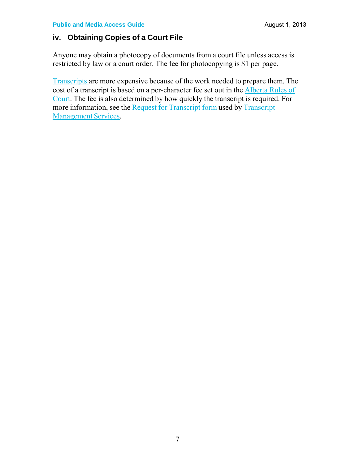#### **iv. Obtaining Copies of a Court File**

Anyone may obtain a photocopy of documents from a court file unless access is restricted by law or a court order. The fee for photocopying is \$1 per page.

Transcripts are more expensive because of the work needed to prepare them. The cost of a transcript is based on a per-character fee set out in the Alberta Rules of Court. The fee is also determined by how quickly the transcript is required. For more information, see the Request for Transcript form used by Transcript Management Services.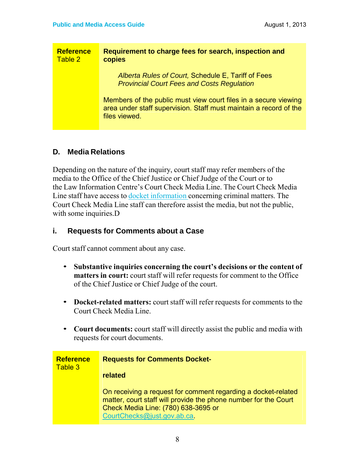| <b>Reference</b><br>Table 2 | Requirement to charge fees for search, inspection and<br>copies                                                                                       |
|-----------------------------|-------------------------------------------------------------------------------------------------------------------------------------------------------|
|                             | Alberta Rules of Court, Schedule E, Tariff of Fees<br><b>Provincial Court Fees and Costs Regulation</b>                                               |
|                             | Members of the public must view court files in a secure viewing<br>area under staff supervision. Staff must maintain a record of the<br>files viewed. |

#### **D. Media Relations**

Depending on the nature of the inquiry, court staff may refer members of the media to the Office of the Chief Justice or Chief Judge of the Court or to the Law Information Centre's Court Check Media Line. The Court Check Media Line staff have access to docket information concerning criminal matters. The Court Check Media Line staff can therefore assist the media, but not the public, with some inquiries.D

#### **i. Requests for Comments about a Case**

Court staff cannot comment about any case.

- **Substantive inquiries concerning the court's decisions or the content of matters in court:** court staff will refer requests for comment to the Office of the Chief Justice or Chief Judge of the court.
- **Docket-related matters:** court staff will refer requests for comments to the Court Check Media Line.
- **Court documents:** court staff will directly assist the public and media with requests for court documents.

| <b>Reference</b> | <b>Requests for Comments Docket-</b>                                                                                                                                                                  |
|------------------|-------------------------------------------------------------------------------------------------------------------------------------------------------------------------------------------------------|
| Table 3          | related                                                                                                                                                                                               |
|                  | On receiving a request for comment regarding a docket-related<br>matter, court staff will provide the phone number for the Court<br>Check Media Line: (780) 638-3695 or<br>CourtChecks@just.gov.ab.ca |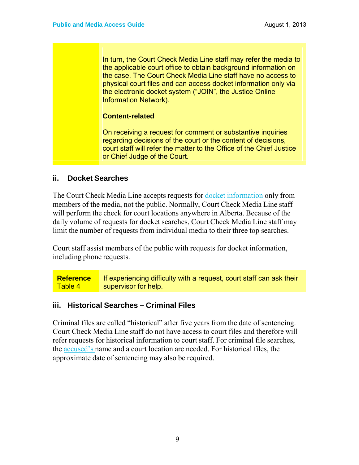In turn, the Court Check Media Line staff may refer the media to the applicable court office to obtain background information on the case. The Court Check Media Line staff have no access to physical court files and can access docket information only via the electronic docket system ("JOIN", the Justice Online Information Network).

#### **Content-related**

On receiving a request for comment or substantive inquiries regarding decisions of the court or the content of decisions, court staff will refer the matter to the Office of the Chief Justice or Chief Judge of the Court.

#### **ii. Docket Searches**

The Court Check Media Line accepts requests for <u>docket information</u> only from members of the media, not the public. Normally, Court Check Media Line staff will perform the check for court locations anywhere in Alberta. Because of the daily volume of requests for docket searches, Court Check Media Line staff may limit the number of requests from individual media to their three top searches.

Court staff assist members of the public with requests for docket information, including phone requests.

**Reference** Table 4 If experiencing difficulty with a request, court staff can ask their supervisor for help.

#### **iii. Historical Searches – Criminal Files**

Criminal files are called "historical" after five years from the date of sentencing. Court Check Media Line staff do not have access to court files and therefore will refer requests for historical information to court staff. For criminal file searches, the accused's name and a court location are needed. For historical files, the approximate date of sentencing may also be required.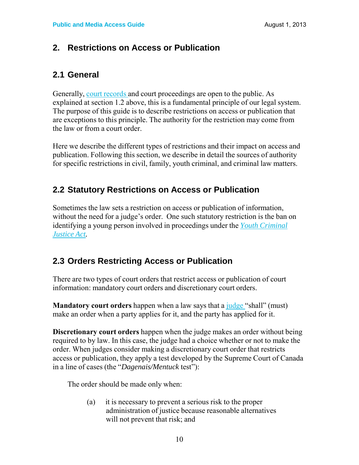### **2. Restrictions on Access or Publication**

### **2.1 General**

Generally, court records and court proceedings are open to the public. As explained at section 1.2 above, this is a fundamental principle of our legal system. The purpose of this guide is to describe restrictions on access or publication that are exceptions to this principle. The authority for the restriction may come from the law or from a court order.

Here we describe the different types of restrictions and their impact on access and publication. Following this section, we describe in detail the sources of authority for specific restrictions in civil, family, youth criminal, and criminal law matters.

### **2.2 Statutory Restrictions on Access or Publication**

Sometimes the law sets a restriction on access or publication of information, without the need for a judge's order. One such statutory restriction is the ban on identifying a young person involved in proceedings under the *Youth Criminal Justice Act.*

### **2.3 Orders Restricting Access or Publication**

There are two types of court orders that restrict access or publication of court information: mandatory court orders and discretionary court orders.

**Mandatory court orders** happen when a law says that a judge "shall" (must) make an order when a party applies for it, and the party has applied for it.

**Discretionary court orders** happen when the judge makes an order without being required to by law. In this case, the judge had a choice whether or not to make the order. When judges consider making a discretionary court order that restricts access or publication, they apply a test developed by the Supreme Court of Canada in a line of cases (the "*Dagenais/Mentuck* test"):

The order should be made only when:

(a) it is necessary to prevent a serious risk to the proper administration of justice because reasonable alternatives will not prevent that risk; and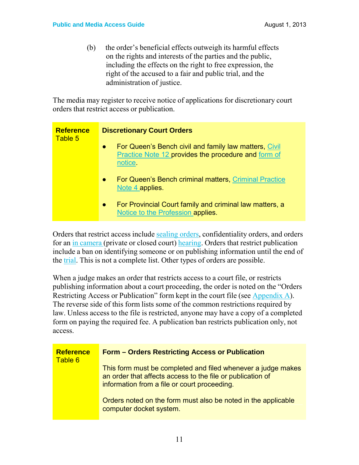(b) the order's beneficial effects outweigh its harmful effects on the rights and interests of the parties and the public, including the effects on the right to free expression, the right of the accused to a fair and public trial, and the administration of justice.

The media may register to receive notice of applications for discretionary court orders that restrict access or publication.

| <b>Reference</b> | <b>Discretionary Court Orders</b>                                                                                                    |
|------------------|--------------------------------------------------------------------------------------------------------------------------------------|
| Table 5          | For Queen's Bench civil and family law matters, Civil<br>$\bullet$<br>Practice Note 12 provides the procedure and form of<br>notice. |
|                  | For Queen's Bench criminal matters, Criminal Practice<br>$\bullet$<br>Note 4 applies.                                                |
|                  | For Provincial Court family and criminal law matters, a<br>$\bullet$<br>Notice to the Profession applies.                            |

Orders that restrict access include sealing orders, confidentiality orders, and orders for an in camera (private or closed court) hearing. Orders that restrict publication include a ban on identifying someone or on publishing information until the end of the trial. This is not a complete list. Other types of orders are possible.

When a judge makes an order that restricts access to a court file, or restricts publishing information about a court proceeding, the order is noted on the "Orders Restricting Access or Publication" form kept in the court file (see Appendix A). The reverse side of this form lists some of the common restrictions required by law. Unless access to the file is restricted, anyone may have a copy of a completed form on paying the required fee. A publication ban restricts publication only, not access.

| <b>Reference</b><br>Table 6 | <b>Form - Orders Restricting Access or Publication</b>                                                                                                                     |
|-----------------------------|----------------------------------------------------------------------------------------------------------------------------------------------------------------------------|
|                             | This form must be completed and filed whenever a judge makes<br>an order that affects access to the file or publication of<br>information from a file or court proceeding. |
|                             | Orders noted on the form must also be noted in the applicable<br>computer docket system.                                                                                   |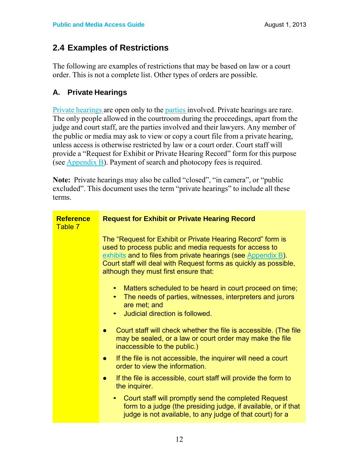### **2.4 Examples of Restrictions**

The following are examples of restrictions that may be based on law or a court order. This is not a complete list. Other types of orders are possible*.*

### **A. Private Hearings**

Private hearings are open only to the parties involved. Private hearings are rare. The only people allowed in the courtroom during the proceedings, apart from the judge and court staff, are the parties involved and their lawyers. Any member of the public or media may ask to view or copy a court file from a private hearing, unless access is otherwise restricted by law or a court order. Court staff will provide a "Request for Exhibit or Private Hearing Record" form for this purpose (see Appendix B). Payment of search and photocopy fees is required.

**Note:** Private hearings may also be called "closed", "in camera", or "public excluded". This document uses the term "private hearings" to include all these terms.

| <b>Reference</b><br>Table 7 | <b>Request for Exhibit or Private Hearing Record</b>                                                                                                                                                                                                                                                 |
|-----------------------------|------------------------------------------------------------------------------------------------------------------------------------------------------------------------------------------------------------------------------------------------------------------------------------------------------|
|                             | The "Request for Exhibit or Private Hearing Record" form is<br>used to process public and media requests for access to<br>exhibits and to files from private hearings (see Appendix B).<br>Court staff will deal with Request forms as quickly as possible,<br>although they must first ensure that: |
|                             | Matters scheduled to be heard in court proceed on time;<br>$\bullet$<br>The needs of parties, witnesses, interpreters and jurors<br>$\bullet$<br>are met; and<br>Judicial direction is followed.<br>$\bullet$                                                                                        |
|                             | Court staff will check whether the file is accessible. (The file<br>$\bullet$<br>may be sealed, or a law or court order may make the file<br>inaccessible to the public.)                                                                                                                            |
|                             | If the file is not accessible, the inquirer will need a court<br>$\bullet$<br>order to view the information.                                                                                                                                                                                         |
|                             | If the file is accessible, court staff will provide the form to<br>$\bullet$<br>the inquirer.                                                                                                                                                                                                        |
|                             | Court staff will promptly send the completed Request<br>$\bullet$<br>form to a judge (the presiding judge, if available, or if that<br>judge is not available, to any judge of that court) for a                                                                                                     |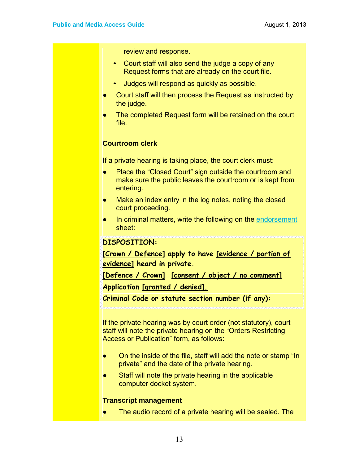review and response.

- Court staff will also send the judge a copy of any Request forms that are already on the court file.
- Judges will respond as quickly as possible.
- Court staff will then process the Request as instructed by the judge.
- The completed Request form will be retained on the court file.

#### **Courtroom clerk**

If a private hearing is taking place, the court clerk must:

- Place the "Closed Court" sign outside the courtroom and make sure the public leaves the courtroom or is kept from entering.
- Make an index entry in the log notes, noting the closed court proceeding.
- In criminal matters, write the following on the endorsement sheet:

#### **DISPOSITION:**

**[Crown / Defence] apply to have [evidence / portion of evidence] heard in private.**

**[Defence / Crown] [consent / object / no comment]**

**Application [granted / denied].**

**Criminal Code or statute section number (if any):**

If the private hearing was by court order (not statutory), court staff will note the private hearing on the "Orders Restricting Access or Publication" form, as follows:

- On the inside of the file, staff will add the note or stamp "In private" and the date of the private hearing.
- Staff will note the private hearing in the applicable computer docket system.

#### **Transcript management**

The audio record of a private hearing will be sealed. The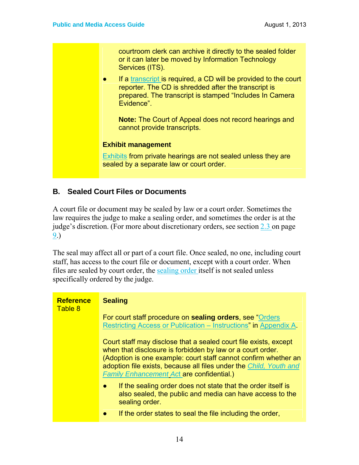courtroom clerk can archive it directly to the sealed folder or it can later be moved by Information Technology Services (ITS).

● If a transcript is required, a CD will be provided to the court reporter. The CD is shredded after the transcript is prepared. The transcript is stamped "Includes In Camera Evidence".

**Note:** The Court of Appeal does not record hearings and cannot provide transcripts.

#### **Exhibit management**

Exhibits from private hearings are not sealed unless they are sealed by a separate law or court order.

#### **B. Sealed Court Files or Documents**

A court file or document may be sealed by law or a court order. Sometimes the law requires the judge to make a sealing order, and sometimes the order is at the judge's discretion. (For more about discretionary orders, see section 2.3 on page 9.)

The seal may affect all or part of a court file. Once sealed, no one, including court staff, has access to the court file or document, except with a court order. When files are sealed by court order, the sealing order itself is not sealed unless specifically ordered by the judge.

| <b>Reference</b><br>Table 8 | <b>Sealing</b>                                                                                                                                                                                                                                                                                                              |
|-----------------------------|-----------------------------------------------------------------------------------------------------------------------------------------------------------------------------------------------------------------------------------------------------------------------------------------------------------------------------|
|                             | For court staff procedure on <b>sealing orders</b> , see "Orders"<br>Restricting Access or Publication – Instructions" in Appendix A.                                                                                                                                                                                       |
|                             | Court staff may disclose that a sealed court file exists, except<br>when that disclosure is forbidden by law or a court order.<br>(Adoption is one example: court staff cannot confirm whether an<br>adoption file exists, because all files under the Child, Youth and<br><b>Family Enhancement Act are confidential.)</b> |
|                             | If the sealing order does not state that the order itself is<br>$\bullet$<br>also sealed, the public and media can have access to the<br>sealing order.<br>If the order states to seal the file including the order,                                                                                                        |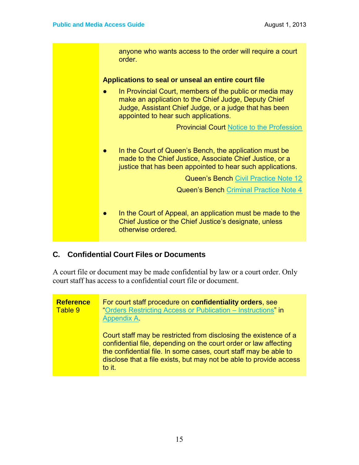anyone who wants access to the order will require a court order. **Applications to seal or unseal an entire court file** In Provincial Court, members of the public or media may make an application to the Chief Judge, Deputy Chief Judge, Assistant Chief Judge, or a judge that has been appointed to hear such applications. Provincial Court Notice to the Profession ● In the Court of Queen's Bench, the application must be made to the Chief Justice, Associate Chief Justice, or a justice that has been appointed to hear such applications. Queen's Bench Civil Practice Note 12 Queen's Bench Criminal Practice Note 4 ● In the Court of Appeal, an application must be made to the Chief Justice or the Chief Justice's designate, unless otherwise ordered.

#### **C. Confidential Court Files or Documents**

A court file or document may be made confidential by law or a court order. Only court staff has access to a confidential court file or document.

#### **Reference** Table 9 For court staff procedure on **confidentiality orders**, see "Orders Restricting Access or Publication – Instructions" in Appendix A. Court staff may be restricted from disclosing the existence of a confidential file, depending on the court order or law affecting the confidential file. In some cases, court staff may be able to disclose that a file exists, but may not be able to provide access to it.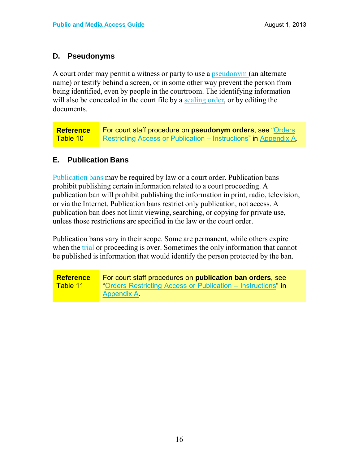#### **D. Pseudonyms**

A court order may permit a witness or party to use a **pseudonym** (an alternate name) or testify behind a screen, or in some other way prevent the person from being identified, even by people in the courtroom. The identifying information will also be concealed in the court file by a sealing order, or by editing the documents.

**Reference** Table 10 For court staff procedure on **pseudonym orders**, see "Orders Restricting Access or Publication – Instructions" in Appendix A.

### **E. Publication Bans**

Publication bans may be required by law or a court order. Publication bans prohibit publishing certain information related to a court proceeding. A publication ban will prohibit publishing the information in print, radio, television, or via the Internet. Publication bans restrict only publication, not access. A publication ban does not limit viewing, searching, or copying for private use, unless those restrictions are specified in the law or the court order.

Publication bans vary in their scope. Some are permanent, while others expire when the trial or proceeding is over. Sometimes the only information that cannot be published is information that would identify the person protected by the ban.

**Reference** Table 11 For court staff procedures on **publication ban orders**, see "Orders Restricting Access or Publication – Instructions" in Appendix A.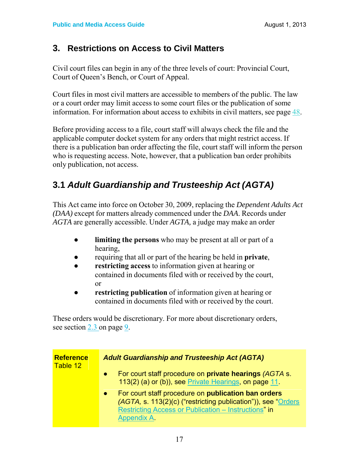### **3. Restrictions on Access to Civil Matters**

Civil court files can begin in any of the three levels of court: Provincial Court, Court of Queen's Bench, or Court of Appeal.

Court files in most civil matters are accessible to members of the public. The law or a court order may limit access to some court files or the publication of some information. For information about access to exhibits in civil matters, see page 48.

Before providing access to a file, court staff will always check the file and the applicable computer docket system for any orders that might restrict access. If there is a publication ban order affecting the file, court staff will inform the person who is requesting access. Note, however, that a publication ban order prohibits only publication, not access.

### **3.1** *Adult Guardianship and Trusteeship Act (AGTA)*

This Act came into force on October 30, 2009, replacing the *Dependent Adults Act (DAA)* except for matters already commenced under the *DAA*. Records under *AGTA* are generally accessible. Under *AGTA,* a judge may make an order

- **limiting the persons** who may be present at all or part of a hearing,
- requiring that all or part of the hearing be held in **private**,
- **restricting access to information given at hearing or** contained in documents filed with or received by the court, or
- **restricting publication** of information given at hearing or contained in documents filed with or received by the court.

These orders would be discretionary. For more about discretionary orders, see section 2.3 on page 9.

| <b>Reference</b><br>Table 12 | <b>Adult Guardianship and Trusteeship Act (AGTA)</b>                                                                                                                                                                  |
|------------------------------|-----------------------------------------------------------------------------------------------------------------------------------------------------------------------------------------------------------------------|
|                              | For court staff procedure on <b>private hearings</b> (AGTA s.<br>$\bullet$<br>113(2) (a) or (b)), see Private Hearings, on page 11.                                                                                   |
|                              | For court staff procedure on <b>publication ban orders</b><br>$\bullet$<br>(AGTA, s. 113(2)(c) ("restricting publication")), see "Orders<br>Restricting Access or Publication - Instructions" in<br><b>Appendix A</b> |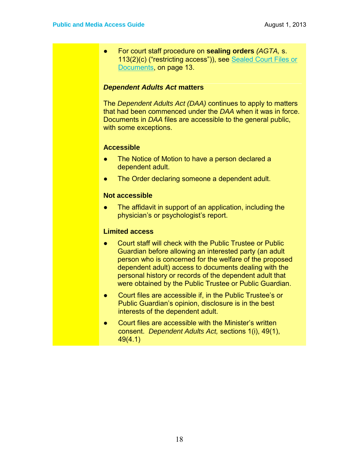● For court staff procedure on **sealing orders** *(AGTA,* s. 113(2)(c) ("restricting access")), see Sealed Court Files or Documents, on page 13.

#### *Dependent Adults Act* **matters**

The *Dependent Adults Act (DAA)* continues to apply to matters that had been commenced under the *DAA* when it was in force. Documents in *DAA* files are accessible to the general public, with some exceptions.

#### **Accessible**

- The Notice of Motion to have a person declared a dependent adult.
- The Order declaring someone a dependent adult.

#### **Not accessible**

● The affidavit in support of an application, including the physician's or psychologist's report.

#### **Limited access**

- Court staff will check with the Public Trustee or Public Guardian before allowing an interested party (an adult person who is concerned for the welfare of the proposed dependent adult) access to documents dealing with the personal history or records of the dependent adult that were obtained by the Public Trustee or Public Guardian.
- Court files are accessible if, in the Public Trustee's or Public Guardian's opinion, disclosure is in the best interests of the dependent adult.
- Court files are accessible with the Minister's written consent. *Dependent Adults Act,* sections 1(i), 49(1), 49(4.1)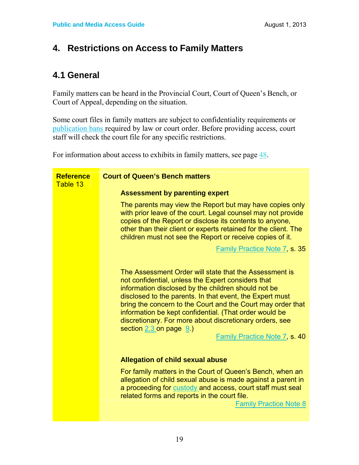### **4. Restrictions on Access to Family Matters**

### **4.1 General**

Family matters can be heard in the Provincial Court, Court of Queen's Bench, or Court of Appeal, depending on the situation.

Some court files in family matters are subject to confidentiality requirements or publication bans required by law or court order. Before providing access, court staff will check the court file for any specific restrictions.

For information about access to exhibits in family matters, see page 48.

| <b>Reference</b><br>Table 13 | <b>Court of Queen's Bench matters</b>                                                                                                                                                                                                                                                                                                                                                                                                                                                       |
|------------------------------|---------------------------------------------------------------------------------------------------------------------------------------------------------------------------------------------------------------------------------------------------------------------------------------------------------------------------------------------------------------------------------------------------------------------------------------------------------------------------------------------|
|                              | <b>Assessment by parenting expert</b>                                                                                                                                                                                                                                                                                                                                                                                                                                                       |
|                              | The parents may view the Report but may have copies only<br>with prior leave of the court. Legal counsel may not provide<br>copies of the Report or disclose its contents to anyone,<br>other than their client or experts retained for the client. The<br>children must not see the Report or receive copies of it.                                                                                                                                                                        |
|                              | <b>Family Practice Note 7, s. 35</b>                                                                                                                                                                                                                                                                                                                                                                                                                                                        |
|                              | The Assessment Order will state that the Assessment is<br>not confidential, unless the Expert considers that<br>information disclosed by the children should not be<br>disclosed to the parents. In that event, the Expert must<br>bring the concern to the Court and the Court may order that<br>information be kept confidential. (That order would be<br>discretionary. For more about discretionary orders, see<br>section $2.3$ on page $9.$ )<br><b>Family Practice Note 7, s. 40</b> |
|                              | <b>Allegation of child sexual abuse</b>                                                                                                                                                                                                                                                                                                                                                                                                                                                     |
|                              | For family matters in the Court of Queen's Bench, when an<br>allegation of child sexual abuse is made against a parent in<br>a proceeding for custody and access, court staff must seal<br>related forms and reports in the court file.<br><b>Family Practice Note 8</b>                                                                                                                                                                                                                    |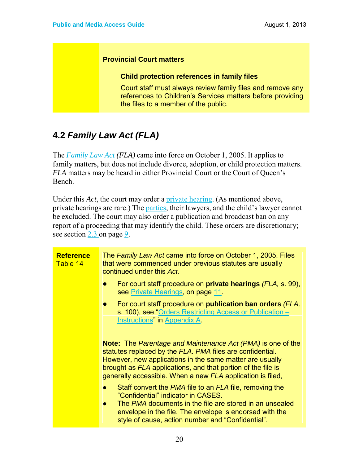#### **Provincial Court matters**

#### **Child protection references in family files**

Court staff must always review family files and remove any references to Children's Services matters before providing the files to a member of the public.

### **4.2** *Family Law Act (FLA)*

The *Family Law Act (FLA)* came into force on October 1, 2005. It applies to family matters, but does not include divorce, adoption, or child protection matters. *FLA* matters may be heard in either Provincial Court or the Court of Queen's Bench.

Under this *Act*, the court may order a private hearing. (As mentioned above, private hearings are rare.) The parties, their lawyers, and the child's lawyer cannot be excluded. The court may also order a publication and broadcast ban on any report of a proceeding that may identify the child. These orders are discretionary; see section 2.3 on page 9.

| <b>Reference</b><br>Table 14 | The Family Law Act came into force on October 1, 2005. Files<br>that were commenced under previous statutes are usually<br>continued under this Act.                                                                                                                                                                      |
|------------------------------|---------------------------------------------------------------------------------------------------------------------------------------------------------------------------------------------------------------------------------------------------------------------------------------------------------------------------|
|                              | For court staff procedure on <b>private hearings</b> (FLA, s. 99),<br>D<br>see Private Hearings, on page 11.                                                                                                                                                                                                              |
|                              | For court staff procedure on <b>publication ban orders</b> (FLA,<br>$\bullet$<br>s. 100), see "Orders Restricting Access or Publication -<br>Instructions" in Appendix A.                                                                                                                                                 |
|                              | <b>Note:</b> The Parentage and Maintenance Act (PMA) is one of the<br>statutes replaced by the FLA. PMA files are confidential.<br>However, new applications in the same matter are usually<br>brought as FLA applications, and that portion of the file is<br>generally accessible. When a new FLA application is filed, |
|                              | Staff convert the <i>PMA</i> file to an <i>FLA</i> file, removing the<br>$\bullet$<br>"Confidential" indicator in CASES.<br>The PMA documents in the file are stored in an unsealed<br>$\bullet$<br>envelope in the file. The envelope is endorsed with the<br>style of cause, action number and "Confidential".          |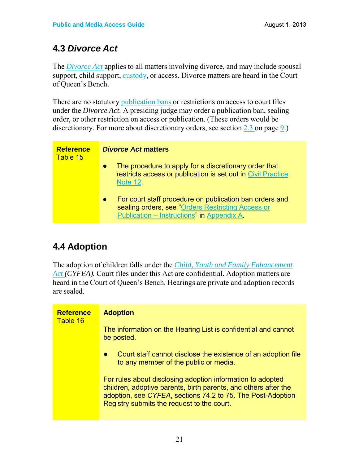### **4.3** *Divorce Act*

The *Divorce Act* applies to all matters involving divorce, and may include spousal support, child support, custody, or access. Divorce matters are heard in the Court of Queen's Bench.

There are no statutory publication bans or restrictions on access to court files under the *Divorce Act.* A presiding judge may order a publication ban, sealing order, or other restriction on access or publication. (These orders would be discretionary. For more about discretionary orders, see section 2.3 on page 9.)

| <b>Reference</b><br>Table 15 | <b>Divorce Act matters</b>                                                                                                                                              |
|------------------------------|-------------------------------------------------------------------------------------------------------------------------------------------------------------------------|
|                              | The procedure to apply for a discretionary order that<br>$\bullet$<br>restricts access or publication is set out in Civil Practice<br><b>Note 12.</b>                   |
|                              | For court staff procedure on publication ban orders and<br>$\bullet$<br>sealing orders, see "Orders Restricting Access or<br>Publication - Instructions" in Appendix A. |

## **4.4 Adoption**

The adoption of children falls under the *Child, Youth and Family Enhancement Act (CYFEA).* Court files under this Act are confidential. Adoption matters are heard in the Court of Queen's Bench. Hearings are private and adoption records are sealed.

| <b>Reference</b><br>Table 16 | <b>Adoption</b>                                                                                                                                                                                                                            |
|------------------------------|--------------------------------------------------------------------------------------------------------------------------------------------------------------------------------------------------------------------------------------------|
|                              | The information on the Hearing List is confidential and cannot<br>be posted.                                                                                                                                                               |
|                              | Court staff cannot disclose the existence of an adoption file<br>$\bullet$<br>to any member of the public or media.                                                                                                                        |
|                              | For rules about disclosing adoption information to adopted<br>children, adoptive parents, birth parents, and others after the<br>adoption, see CYFEA, sections 74.2 to 75. The Post-Adoption<br>Registry submits the request to the court. |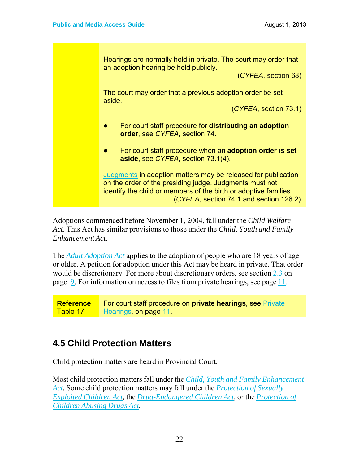Hearings are normally held in private. The court may order that an adoption hearing be held publicly.

(*CYFEA*, section 68)

The court may order that a previous adoption order be set aside.

(*CYFEA*, section 73.1)

- For court staff procedure for **distributing an adoption order**, see *CYFEA*, section 74.
- For court staff procedure when an **adoption order is set aside**, see *CYFEA*, section 73.1(4).

Judgments in adoption matters may be released for publication on the order of the presiding judge. Judgments must not identify the child or members of the birth or adoptive families. (*CYFEA*, section 74.1 and section 126.2)

Adoptions commenced before November 1, 2004, fall under the *Child Welfare Act*. This Act has similar provisions to those under the *Child, Youth and Family Enhancement Act.*

The *Adult Adoption Act* applies to the adoption of people who are 18 years of age or older. A petition for adoption under this Act may be heard in private. That order would be discretionary. For more about discretionary orders, see section 2.3 on page 9. For information on access to files from private hearings, see page 11.

**Reference** Table 17 For court staff procedure on **private hearings**, see Private Hearings, on page 11.

### **4.5 Child Protection Matters**

Child protection matters are heard in Provincial Court.

Most child protection matters fall under the *Child, Youth and Family Enhancement Act.* Some child protection matters may fall under the *Protection of Sexually Exploited Children Act,* the *Drug-Endangered Children Act,* or the *Protection of Children Abusing Drugs Act.*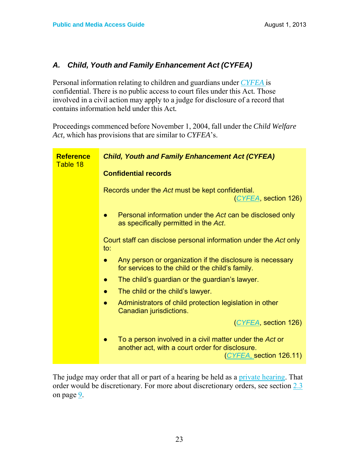#### *A. Child, Youth and Family Enhancement Act (CYFEA)*

Personal information relating to children and guardians under *CYFEA* is confidential. There is no public access to court files under this Act*.* Those involved in a civil action may apply to a judge for disclosure of a record that contains information held under this Act*.*

Proceedings commenced before November 1, 2004, fall under the *Child Welfare Act,* which has provisions that are similar to *CYFEA*'s.

| <b>Reference</b><br>Table 18 | <b>Child, Youth and Family Enhancement Act (CYFEA)</b>                                                                                |
|------------------------------|---------------------------------------------------------------------------------------------------------------------------------------|
|                              | <b>Confidential records</b>                                                                                                           |
|                              | Records under the Act must be kept confidential.<br>(CYFEA, section 126)                                                              |
|                              | Personal information under the Act can be disclosed only<br>as specifically permitted in the Act.                                     |
|                              | Court staff can disclose personal information under the Act only<br>to:                                                               |
|                              | Any person or organization if the disclosure is necessary<br>$\bullet$<br>for services to the child or the child's family.            |
|                              | The child's guardian or the guardian's lawyer.                                                                                        |
|                              | The child or the child's lawyer.                                                                                                      |
|                              | Administrators of child protection legislation in other<br>Canadian jurisdictions.                                                    |
|                              | (CYFEA, section 126)                                                                                                                  |
|                              | To a person involved in a civil matter under the Act or<br>another act, with a court order for disclosure.<br>(CYFEA, section 126.11) |
|                              |                                                                                                                                       |

The judge may order that all or part of a hearing be held as a private hearing. That order would be discretionary. For more about discretionary orders, see section 2.3 on page 9.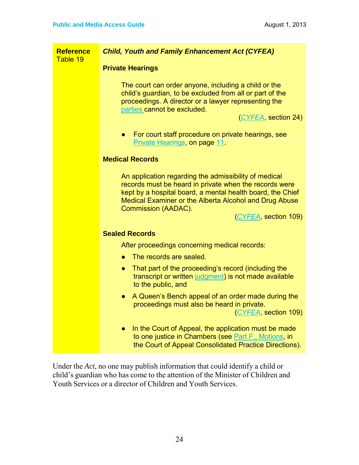| <b>Reference</b><br>Table 19 | <b>Child, Youth and Family Enhancement Act (CYFEA)</b>                                                                                                                                                                                                                                        |  |  |
|------------------------------|-----------------------------------------------------------------------------------------------------------------------------------------------------------------------------------------------------------------------------------------------------------------------------------------------|--|--|
|                              | <b>Private Hearings</b>                                                                                                                                                                                                                                                                       |  |  |
|                              | The court can order anyone, including a child or the<br>child's guardian, to be excluded from all or part of the<br>proceedings. A director or a lawyer representing the<br>parties cannot be excluded.<br>(CYFEA, section 24)                                                                |  |  |
|                              | For court staff procedure on private hearings, see<br>$\bullet$<br>Private Hearings, on page 11                                                                                                                                                                                               |  |  |
|                              | <b>Medical Records</b>                                                                                                                                                                                                                                                                        |  |  |
|                              | An application regarding the admissibility of medical<br>records must be heard in private when the records were<br>kept by a hospital board, a mental health board, the Chief<br>Medical Examiner or the Alberta Alcohol and Drug Abuse<br><b>Commission (AADAC).</b><br>(CYFEA, section 109) |  |  |
|                              | <b>Sealed Records</b>                                                                                                                                                                                                                                                                         |  |  |
|                              | After proceedings concerning medical records:                                                                                                                                                                                                                                                 |  |  |
|                              | The records are sealed.<br>$\bullet$                                                                                                                                                                                                                                                          |  |  |
|                              | That part of the proceeding's record (including the<br>$\bullet$<br>transcript or written judgment) is not made available<br>to the public, and                                                                                                                                               |  |  |
|                              | A Queen's Bench appeal of an order made during the<br>$\bullet$<br>proceedings must also be heard in private.<br>(CYFEA, section 109)                                                                                                                                                         |  |  |
|                              | In the Court of Appeal, the application must be made<br>$\bullet$<br>to one justice in Chambers (see Part F., Motions, in<br>the Court of Appeal Consolidated Practice Directions).                                                                                                           |  |  |

Under the *Act,* no one may publish information that could identify a child or child's guardian who has come to the attention of the Minister of Children and Youth Services or a director of Children and Youth Services.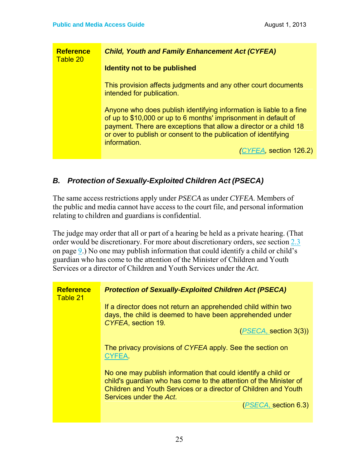| <b>Reference</b><br>Table 20 | <b>Child, Youth and Family Enhancement Act (CYFEA)</b>                                                                                                                                                                                                                                         |
|------------------------------|------------------------------------------------------------------------------------------------------------------------------------------------------------------------------------------------------------------------------------------------------------------------------------------------|
|                              | <b>Identity not to be published</b>                                                                                                                                                                                                                                                            |
|                              | This provision affects judgments and any other court documents<br>intended for publication.                                                                                                                                                                                                    |
|                              | Anyone who does publish identifying information is liable to a fine<br>of up to \$10,000 or up to 6 months' imprisonment in default of<br>payment. There are exceptions that allow a director or a child 18<br>or over to publish or consent to the publication of identifying<br>information. |
|                              | (CYFEA, section 126.2)                                                                                                                                                                                                                                                                         |

#### *B. Protection of Sexually-Exploited Children Act (PSECA)*

The same access restrictions apply under *PSECA* as under *CYFEA*. Members of the public and media cannot have access to the court file, and personal information relating to children and guardians is confidential.

The judge may order that all or part of a hearing be held as a private hearing. (That order would be discretionary. For more about discretionary orders, see section 2.3 on page 9.) No one may publish information that could identify a child or child's guardian who has come to the attention of the Minister of Children and Youth Services or a director of Children and Youth Services under the *Act.*

| <b>Reference</b><br>Table 21 | <b>Protection of Sexually-Exploited Children Act (PSECA)</b>                                                                                                                                                                     |  |
|------------------------------|----------------------------------------------------------------------------------------------------------------------------------------------------------------------------------------------------------------------------------|--|
|                              | If a director does not return an apprehended child within two<br>days, the child is deemed to have been apprehended under<br>CYFEA, section 19.                                                                                  |  |
|                              | (PSECA, section 3(3))                                                                                                                                                                                                            |  |
|                              | The privacy provisions of CYFEA apply. See the section on<br>CYFEA.                                                                                                                                                              |  |
|                              | No one may publish information that could identify a child or<br>child's guardian who has come to the attention of the Minister of<br>Children and Youth Services or a director of Children and Youth<br>Services under the Act. |  |
|                              | (PSECA, section 6.3)                                                                                                                                                                                                             |  |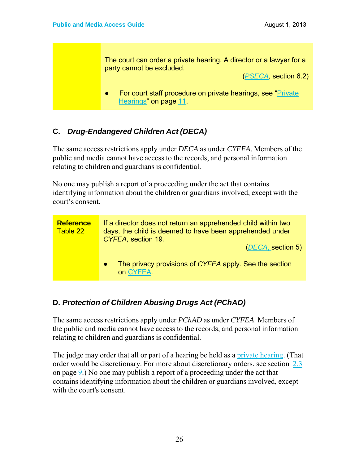The court can order a private hearing. A director or a lawyer for a party cannot be excluded.

(*PSECA*, section 6.2)

● For court staff procedure on private hearings, see "Private Hearings" on page 11.

### **C.** *Drug-Endangered Children Act (DECA)*

The same access restrictions apply under *DECA* as under *CYFEA*. Members of the public and media cannot have access to the records, and personal information relating to children and guardians is confidential.

No one may publish a report of a proceeding under the act that contains identifying information about the children or guardians involved, except with the court's consent.



### **D.** *Protection of Children Abusing Drugs Act (PChAD)*

The same access restrictions apply under *PChAD* as under *CYFEA*. Members of the public and media cannot have access to the records, and personal information relating to children and guardians is confidential.

The judge may order that all or part of a hearing be held as a private hearing. (That order would be discretionary. For more about discretionary orders, see section 2.3 on page 9.) No one may publish a report of a proceeding under the act that contains identifying information about the children or guardians involved, except with the court's consent.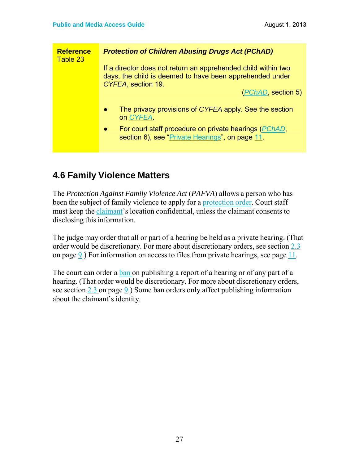| <b>Reference</b><br>Table 23 | <b>Protection of Children Abusing Drugs Act (PChAD)</b>                                                                                         |
|------------------------------|-------------------------------------------------------------------------------------------------------------------------------------------------|
|                              | If a director does not return an apprehended child within two<br>days, the child is deemed to have been apprehended under<br>CYFEA, section 19. |
|                              | ( <i>PChAD</i> , section 5)                                                                                                                     |
|                              | The privacy provisions of CYFEA apply. See the section<br>$\bullet$<br>on CYFEA                                                                 |
|                              | For court staff procedure on private hearings ( <i>PChAD</i> ,<br>$\bullet$<br>section 6), see "Private Hearings", on page 11.                  |

### **4.6 Family Violence Matters**

The *Protection Against Family Violence Act* (*PAFVA*) allows a person who has been the subject of family violence to apply for a protection order. Court staff must keep the claimant's location confidential, unless the claimant consents to disclosing this information.

The judge may order that all or part of a hearing be held as a private hearing. (That order would be discretionary. For more about discretionary orders, see section 2.3 on page 9.) For information on access to files from private hearings, see page 11.

The court can order a ban on publishing a report of a hearing or of any part of a hearing. (That order would be discretionary. For more about discretionary orders, see section  $2.3$  on page  $9.$ ) Some ban orders only affect publishing information about the claimant's identity.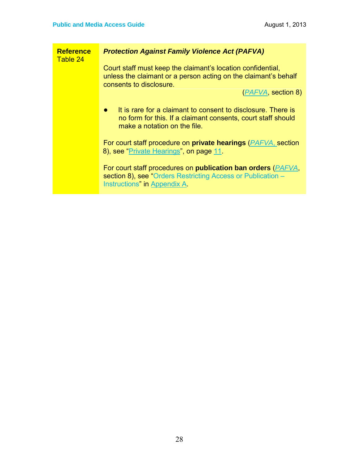| <b>Reference</b><br>Table 24 | <b>Protection Against Family Violence Act (PAFVA)</b>                                                                                                                       |  |
|------------------------------|-----------------------------------------------------------------------------------------------------------------------------------------------------------------------------|--|
|                              | Court staff must keep the claimant's location confidential,<br>unless the claimant or a person acting on the claimant's behalf<br>consents to disclosure.                   |  |
|                              | ( <i>PAFVA</i> , section 8)                                                                                                                                                 |  |
|                              | It is rare for a claimant to consent to disclosure. There is<br>$\bullet$<br>no form for this. If a claimant consents, court staff should<br>make a notation on the file.   |  |
|                              | For court staff procedure on <b>private hearings</b> ( <i>PAFVA</i> , section<br>8), see "Private Hearings", on page 11                                                     |  |
|                              | For court staff procedures on <b>publication ban orders</b> ( <i>PAFVA</i> ,<br>section 8), see "Orders Restricting Access or Publication -<br>Instructions" in Appendix A. |  |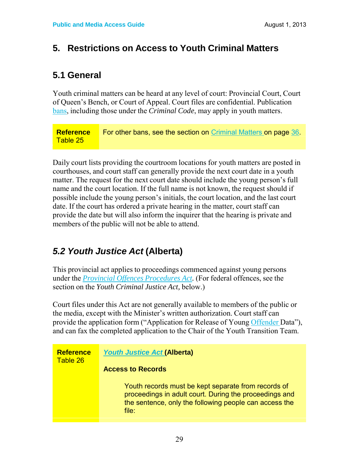### **5. Restrictions on Access to Youth Criminal Matters**

### **5.1 General**

Youth criminal matters can be heard at any level of court: Provincial Court, Court of Queen's Bench, or Court of Appeal. Court files are confidential. Publication bans, including those under the *Criminal Code*, may apply in youth matters.

**Reference** Table 25 For other bans, see the section on Criminal Matters on page 36.

Daily court lists providing the courtroom locations for youth matters are posted in courthouses, and court staff can generally provide the next court date in a youth matter. The request for the next court date should include the young person's full name and the court location. If the full name is not known, the request should if possible include the young person's initials, the court location, and the last court date. If the court has ordered a private hearing in the matter, court staff can provide the date but will also inform the inquirer that the hearing is private and members of the public will not be able to attend.

### *5.2 Youth Justice Act* **(Alberta)**

This provincial act applies to proceedings commenced against young persons under the *Provincial Offences Procedures Act.* (For federal offences, see the section on the *Youth Criminal Justice Act,* below.)

Court files under this Act are not generally available to members of the public or the media, except with the Minister's written authorization. Court staff can provide the application form ("Application for Release of Young Offender Data"), and can fax the completed application to the Chair of the Youth Transition Team.

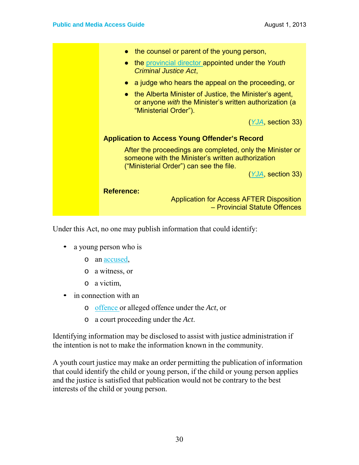| the counsel or parent of the young person,                                                                                                                    |
|---------------------------------------------------------------------------------------------------------------------------------------------------------------|
| the provincial director appointed under the Youth<br>$\bullet$<br>Criminal Justice Act,                                                                       |
| a judge who hears the appeal on the proceeding, or<br>$\bullet$                                                                                               |
| the Alberta Minister of Justice, the Minister's agent,<br>$\bullet$<br>or anyone <i>with</i> the Minister's written authorization (a<br>"Ministerial Order"). |
| (YJA, section 33)                                                                                                                                             |
| <b>Application to Access Young Offender's Record</b>                                                                                                          |
| After the proceedings are completed, only the Minister or<br>someone with the Minister's written authorization<br>("Ministerial Order") can see the file.     |
| (YJA, section 33)                                                                                                                                             |
| <b>Reference:</b>                                                                                                                                             |
| Application for Access AFTER Disposition<br>- Provincial Statute Offences                                                                                     |
|                                                                                                                                                               |

Under this Act, no one may publish information that could identify:

- a young person who is
	- o an accused,
	- o a witness, or
	- o a victim,
- in connection with an
	- o offence or alleged offence under the *Act*, or
	- o a court proceeding under the *Act*.

Identifying information may be disclosed to assist with justice administration if the intention is not to make the information known in the community.

A youth court justice may make an order permitting the publication of information that could identify the child or young person, if the child or young person applies and the justice is satisfied that publication would not be contrary to the best interests of the child or young person.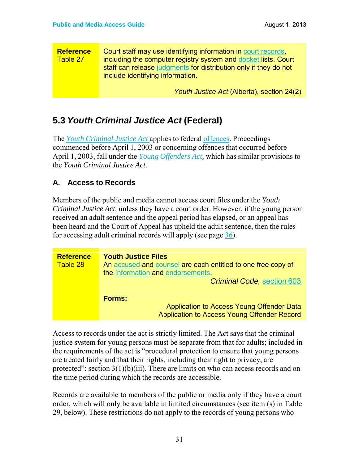| <b>Reference</b><br>Table 27 | Court staff may use identifying information in court records,<br>including the computer registry system and docket lists. Court<br>staff can release judgments for distribution only if they do not<br>include identifying information. |  |
|------------------------------|-----------------------------------------------------------------------------------------------------------------------------------------------------------------------------------------------------------------------------------------|--|
|                              | Youth Justice Act (Alberta), section 24(2)                                                                                                                                                                                              |  |

### **5.3** *Youth Criminal Justice Act* **(Federal)**

The *Youth Criminal Justice Act* applies to federal offences. Proceedings commenced before April 1, 2003 or concerning offences that occurred before April 1, 2003, fall under the *Young Offenders Act,* which has similar provisions to the *Youth Criminal Justice Act.*

#### **A. Access to Records**

Members of the public and media cannot access court files under the *Youth Criminal Justice Act,* unless they have a court order. However, if the young person received an adult sentence and the appeal period has elapsed, or an appeal has been heard and the Court of Appeal has upheld the adult sentence, then the rules for accessing adult criminal records will apply (see page 36).

| <b>Reference</b><br>Table 28 | <b>Youth Justice Files</b><br>An accused and counsel are each entitled to one free copy of<br>the Information and endorsements.<br><b>Criminal Code, section 603</b> |
|------------------------------|----------------------------------------------------------------------------------------------------------------------------------------------------------------------|
|                              | <b>Forms:</b><br>Application to Access Young Offender Data<br>Application to Access Young Offender Record                                                            |

Access to records under the act is strictly limited. The Act says that the criminal justice system for young persons must be separate from that for adults; included in the requirements of the act is "procedural protection to ensure that young persons are treated fairly and that their rights, including their right to privacy, are protected": section  $3(1)(b)(iii)$ . There are limits on who can access records and on the time period during which the records are accessible.

Records are available to members of the public or media only if they have a court order, which will only be available in limited circumstances (see item (s) in Table 29, below). These restrictions do not apply to the records of young persons who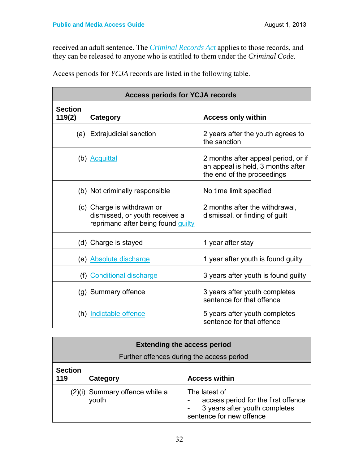received an adult sentence. The *Criminal Records Act* applies to those records, and they can be released to anyone who is entitled to them under the *Criminal Code.*

Access periods for *YCJA* records are listed in the following table.

| <b>Access periods for YCJA records</b> |                                                                                                    |                                                                                                        |
|----------------------------------------|----------------------------------------------------------------------------------------------------|--------------------------------------------------------------------------------------------------------|
| <b>Section</b><br>119(2)               | Category                                                                                           | <b>Access only within</b>                                                                              |
|                                        | (a) Extrajudicial sanction                                                                         | 2 years after the youth agrees to<br>the sanction                                                      |
|                                        | (b) Acquittal                                                                                      | 2 months after appeal period, or if<br>an appeal is held, 3 months after<br>the end of the proceedings |
|                                        | (b) Not criminally responsible                                                                     | No time limit specified                                                                                |
|                                        | (c) Charge is withdrawn or<br>dismissed, or youth receives a<br>reprimand after being found guilty | 2 months after the withdrawal,<br>dismissal, or finding of guilt                                       |
|                                        | (d) Charge is stayed                                                                               | 1 year after stay                                                                                      |
|                                        | (e) Absolute discharge                                                                             | 1 year after youth is found guilty                                                                     |
|                                        | (f) Conditional discharge                                                                          | 3 years after youth is found guilty                                                                    |
|                                        | (g) Summary offence                                                                                | 3 years after youth completes<br>sentence for that offence                                             |
|                                        | (h) Indictable offence                                                                             | 5 years after youth completes<br>sentence for that offence                                             |

| <b>Extending the access period</b> |                                           |                                                                                                                   |  |
|------------------------------------|-------------------------------------------|-------------------------------------------------------------------------------------------------------------------|--|
|                                    | Further offences during the access period |                                                                                                                   |  |
| <b>Section</b><br>119              | Category                                  | <b>Access within</b>                                                                                              |  |
|                                    | (2)(i) Summary offence while a<br>youth   | The latest of<br>access period for the first offence<br>3 years after youth completes<br>sentence for new offence |  |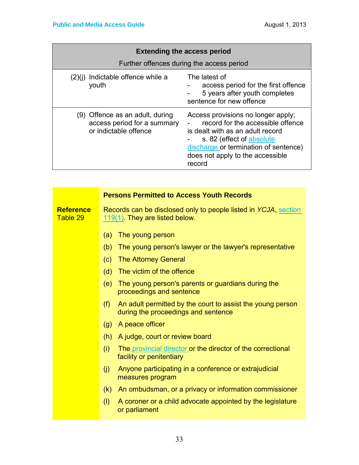| <b>Extending the access period</b>                                                      |                                                                                                                                                                                                                                 |  |
|-----------------------------------------------------------------------------------------|---------------------------------------------------------------------------------------------------------------------------------------------------------------------------------------------------------------------------------|--|
| Further offences during the access period                                               |                                                                                                                                                                                                                                 |  |
| (2)(j) Indictable offence while a<br>youth                                              | The latest of<br>access period for the first offence<br>5 years after youth completes<br>sentence for new offence                                                                                                               |  |
| (9) Offence as an adult, during<br>access period for a summary<br>or indictable offence | Access provisions no longer apply;<br>record for the accessible offence<br>is dealt with as an adult record<br>s. 82 (effect of absolute<br>discharge or termination of sentence)<br>does not apply to the accessible<br>record |  |

|                              | <b>Persons Permitted to Access Youth Records</b>                                                         |
|------------------------------|----------------------------------------------------------------------------------------------------------|
| <b>Reference</b><br>Table 29 | Records can be disclosed only to people listed in YCJA, section<br>119(1). They are listed below.        |
|                              | The young person<br>(a)                                                                                  |
|                              | The young person's lawyer or the lawyer's representative<br>(b)                                          |
|                              | <b>The Attorney General</b><br>(c)                                                                       |
|                              | The victim of the offence<br>(d)                                                                         |
|                              | The young person's parents or guardians during the<br>(e)<br>proceedings and sentence                    |
|                              | An adult permitted by the court to assist the young person<br>(f)<br>during the proceedings and sentence |
|                              | (g) A peace officer                                                                                      |
|                              | A judge, court or review board<br>(h)                                                                    |
|                              | (i)<br>The provincial director or the director of the correctional<br>facility or penitentiary           |
|                              | (j)<br>Anyone participating in a conference or extrajudicial<br>measures program                         |
|                              | An ombudsman, or a privacy or information commissioner<br>(k)                                            |
|                              | (1)<br>A coroner or a child advocate appointed by the legislature<br>or parliament                       |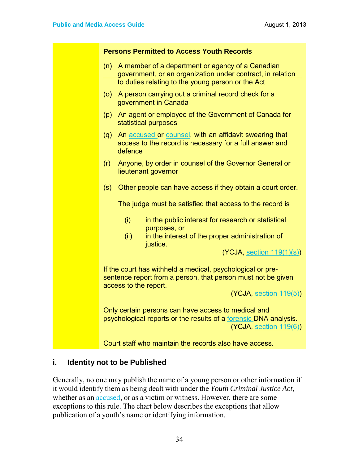| <b>Persons Permitted to Access Youth Records</b>                                                                                                                           |
|----------------------------------------------------------------------------------------------------------------------------------------------------------------------------|
| A member of a department or agency of a Canadian<br>(n)<br>government, or an organization under contract, in relation<br>to duties relating to the young person or the Act |
| A person carrying out a criminal record check for a<br>(0)<br>government in Canada                                                                                         |
| An agent or employee of the Government of Canada for<br>(p)<br>statistical purposes                                                                                        |
| An accused or counsel, with an affidavit swearing that<br>(q)<br>access to the record is necessary for a full answer and<br>defence                                        |
| Anyone, by order in counsel of the Governor General or<br>(r)<br>lieutenant governor                                                                                       |
| Other people can have access if they obtain a court order.<br>(s)                                                                                                          |
| The judge must be satisfied that access to the record is                                                                                                                   |
| (i)<br>in the public interest for research or statistical<br>purposes, or                                                                                                  |
| in the interest of the proper administration of<br>(ii)<br>justice.                                                                                                        |
| (YCJA, section 119(1)(s))                                                                                                                                                  |
| If the court has withheld a medical, psychological or pre-<br>sentence report from a person, that person must not be given<br>access to the report.                        |
| (YCJA, section 119(5))                                                                                                                                                     |
| Only certain persons can have access to medical and<br>psychological reports or the results of a forensic DNA analysis.<br>(YCJA, section 119(6))                          |
| Court staff who maintain the records also have access.                                                                                                                     |

#### **i. Identity not to be Published**

Generally, no one may publish the name of a young person or other information if it would identify them as being dealt with under the *Youth Criminal Justice Act*, whether as an accused, or as a victim or witness. However, there are some exceptions to this rule. The chart below describes the exceptions that allow publication of a youth's name or identifying information.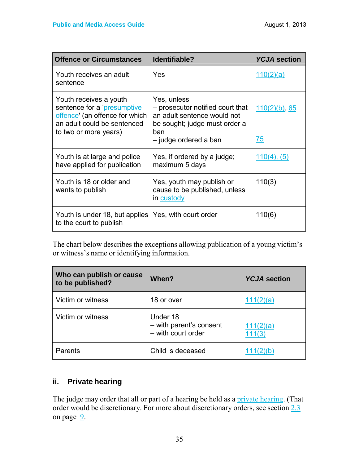| <b>Offence or Circumstances</b>                                                                                                                 | Identifiable?                                                                                                                                   | <b>YCJA</b> section    |
|-------------------------------------------------------------------------------------------------------------------------------------------------|-------------------------------------------------------------------------------------------------------------------------------------------------|------------------------|
| Youth receives an adult<br>sentence                                                                                                             | Yes                                                                                                                                             | 110(2)(a)              |
| Youth receives a youth<br>sentence for a 'presumptive<br>offence' (an offence for which<br>an adult could be sentenced<br>to two or more years) | Yes, unless<br>- prosecutor notified court that<br>an adult sentence would not<br>be sought; judge must order a<br>ban<br>- judge ordered a ban | $110(2)(b)$ , 65<br>75 |
| Youth is at large and police<br>have applied for publication                                                                                    | Yes, if ordered by a judge;<br>maximum 5 days                                                                                                   | $110(4)$ , $(5)$       |
| Youth is 18 or older and<br>wants to publish                                                                                                    | Yes, youth may publish or<br>cause to be published, unless<br>in custody                                                                        | 110(3)                 |
| Youth is under 18, but applies Yes, with court order<br>to the court to publish                                                                 |                                                                                                                                                 | 110(6)                 |

The chart below describes the exceptions allowing publication of a young victim's or witness's name or identifying information.

| Who can publish or cause<br>to be published? | When?                                                     | <b>YCJA</b> section |
|----------------------------------------------|-----------------------------------------------------------|---------------------|
| Victim or witness                            | 18 or over                                                | 111(2)(a)           |
| Victim or witness                            | Under 18<br>- with parent's consent<br>- with court order | 111(2)(a)<br>111(3) |
| Parents                                      | Child is deceased                                         | 11(2)(b)            |

### **ii. Private hearing**

The judge may order that all or part of a hearing be held as a private hearing. (That order would be discretionary. For more about discretionary orders, see section 2.3 on page  $9$ .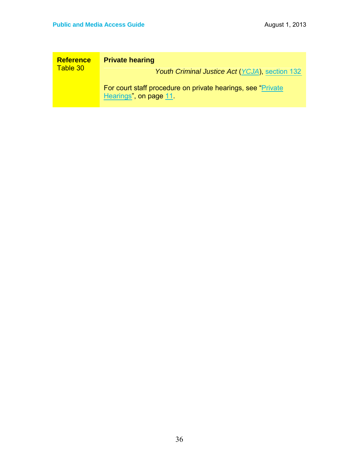| <b>Reference</b> | <b>Private hearing</b>                                                                 |
|------------------|----------------------------------------------------------------------------------------|
| Table 30         | Youth Criminal Justice Act (YCJA), section 132                                         |
|                  | For court staff procedure on private hearings, see "Private"<br>Hearings", on page 11. |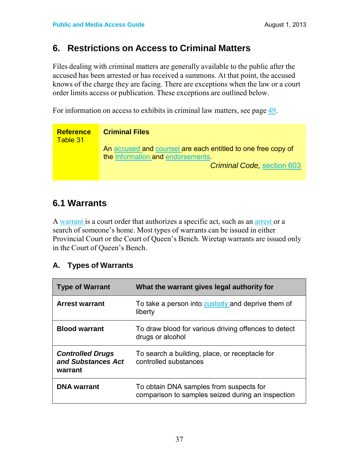### **6. Restrictions on Access to Criminal Matters**

Files dealing with criminal matters are generally available to the public after the accused has been arrested or has received a summons. At that point, the accused knows of the charge they are facing. There are exceptions when the law or a court order limits access or publication. These exceptions are outlined below.

For information on access to exhibits in criminal law matters, see page 49.

| <b>Reference</b><br>Table 31 | <b>Criminal Files</b>                                                                             |
|------------------------------|---------------------------------------------------------------------------------------------------|
|                              | An accused and counsel are each entitled to one free copy of<br>the Information and endorsements. |
|                              | <b>Criminal Code, section 603</b>                                                                 |

### **6.1 Warrants**

A warrant is a court order that authorizes a specific act, such as an arrest or a search of someone's home. Most types of warrants can be issued in either Provincial Court or the Court of Queen's Bench. Wiretap warrants are issued only in the Court of Queen's Bench.

### **A. Types of Warrants**

| <b>Type of Warrant</b>                                   | What the warrant gives legal authority for                                                   |
|----------------------------------------------------------|----------------------------------------------------------------------------------------------|
| <b>Arrest warrant</b>                                    | To take a person into custody and deprive them of<br>liberty                                 |
| <b>Blood warrant</b>                                     | To draw blood for various driving offences to detect<br>drugs or alcohol                     |
| <b>Controlled Drugs</b><br>and Substances Act<br>warrant | To search a building, place, or receptacle for<br>controlled substances                      |
| <b>DNA</b> warrant                                       | To obtain DNA samples from suspects for<br>comparison to samples seized during an inspection |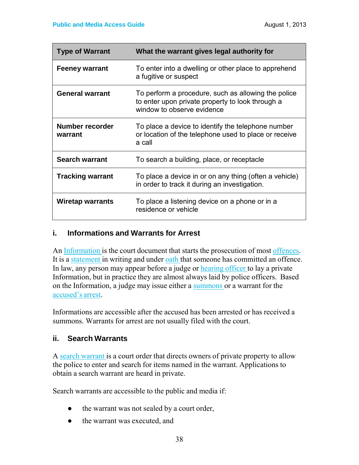| <b>Type of Warrant</b>     | What the warrant gives legal authority for                                                                                            |
|----------------------------|---------------------------------------------------------------------------------------------------------------------------------------|
| <b>Feeney warrant</b>      | To enter into a dwelling or other place to apprehend<br>a fugitive or suspect                                                         |
| <b>General warrant</b>     | To perform a procedure, such as allowing the police<br>to enter upon private property to look through a<br>window to observe evidence |
| Number recorder<br>warrant | To place a device to identify the telephone number<br>or location of the telephone used to place or receive<br>a call                 |
| <b>Search warrant</b>      | To search a building, place, or receptacle                                                                                            |
| <b>Tracking warrant</b>    | To place a device in or on any thing (often a vehicle)<br>in order to track it during an investigation.                               |
| <b>Wiretap warrants</b>    | To place a listening device on a phone or in a<br>residence or vehicle                                                                |

#### **i. Informations and Warrants for Arrest**

An Information is the court document that starts the prosecution of most offences. It is a statement in writing and under oath that someone has committed an offence. In law, any person may appear before a judge or hearing officer to lay a private Information, but in practice they are almost always laid by police officers. Based on the Information, a judge may issue either a summons or a warrant for the accused's arrest.

Informations are accessible after the accused has been arrested or has received a summons. Warrants for arrest are not usually filed with the court.

#### **ii. Search Warrants**

A search warrant is a court order that directs owners of private property to allow the police to enter and search for items named in the warrant. Applications to obtain a search warrant are heard in private.

Search warrants are accessible to the public and media if:

- the warrant was not sealed by a court order,
- the warrant was executed, and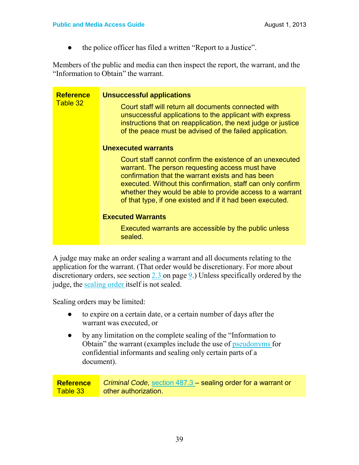• the police officer has filed a written "Report to a Justice".

Members of the public and media can then inspect the report, the warrant, and the "Information to Obtain" the warrant.

| <b>Reference</b><br>Table 32 | <b>Unsuccessful applications</b><br>Court staff will return all documents connected with<br>unsuccessful applications to the applicant with express<br>instructions that on reapplication, the next judge or justice<br>of the peace must be advised of the failed application.                                                                            |
|------------------------------|------------------------------------------------------------------------------------------------------------------------------------------------------------------------------------------------------------------------------------------------------------------------------------------------------------------------------------------------------------|
|                              | Unexecuted warrants                                                                                                                                                                                                                                                                                                                                        |
|                              | Court staff cannot confirm the existence of an unexecuted<br>warrant. The person requesting access must have<br>confirmation that the warrant exists and has been<br>executed. Without this confirmation, staff can only confirm<br>whether they would be able to provide access to a warrant<br>of that type, if one existed and if it had been executed. |
|                              | <b>Executed Warrants</b>                                                                                                                                                                                                                                                                                                                                   |
|                              | Executed warrants are accessible by the public unless<br>sealed.                                                                                                                                                                                                                                                                                           |

A judge may make an order sealing a warrant and all documents relating to the application for the warrant. (That order would be discretionary. For more about discretionary orders, see section 2.3 on page 9.) Unless specifically ordered by the judge, the sealing order itself is not sealed.

Sealing orders may be limited:

- to expire on a certain date, or a certain number of days after the warrant was executed, or
- by any limitation on the complete sealing of the "Information to Obtain" the warrant (examples include the use of pseudonyms for confidential informants and sealing only certain parts of a document).

**Reference** Table 33 *Criminal Code,* section 487.3 – sealing order for a warrant or other authorization.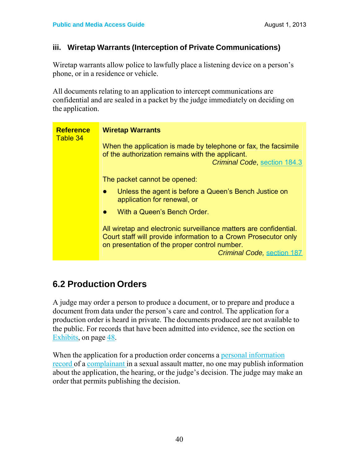#### **iii. Wiretap Warrants (Interception of Private Communications)**

Wiretap warrants allow police to lawfully place a listening device on a person's phone, or in a residence or vehicle.

All documents relating to an application to intercept communications are confidential and are sealed in a packet by the judge immediately on deciding on the application.

| <b>Reference</b><br>Table 34 | <b>Wiretap Warrants</b>                                                                                                                                                                                                    |
|------------------------------|----------------------------------------------------------------------------------------------------------------------------------------------------------------------------------------------------------------------------|
|                              | When the application is made by telephone or fax, the facsimile<br>of the authorization remains with the applicant.<br><b>Criminal Code, section 184.3</b>                                                                 |
|                              | The packet cannot be opened:                                                                                                                                                                                               |
|                              | Unless the agent is before a Queen's Bench Justice on<br>application for renewal, or                                                                                                                                       |
|                              | With a Queen's Bench Order.                                                                                                                                                                                                |
|                              | All wiretap and electronic surveillance matters are confidential.<br>Court staff will provide information to a Crown Prosecutor only<br>on presentation of the proper control number.<br><b>Criminal Code, section 187</b> |

### **6.2 Production Orders**

A judge may order a person to produce a document, or to prepare and produce a document from data under the person's care and control. The application for a production order is heard in private. The documents produced are not available to the public. For records that have been admitted into evidence, see the section on Exhibits, on page 48.

When the application for a production order concerns a personal information record of a complainant in a sexual assault matter, no one may publish information about the application, the hearing, or the judge's decision. The judge may make an order that permits publishing the decision.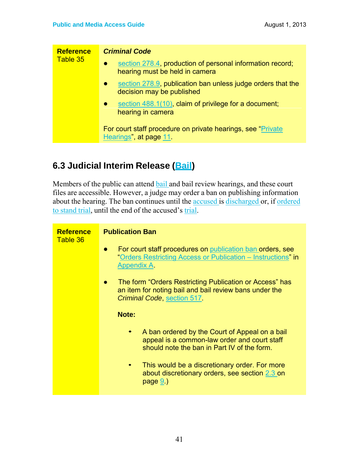| <b>Reference</b><br>Table 35 | <b>Criminal Code</b>                                                                                     |
|------------------------------|----------------------------------------------------------------------------------------------------------|
|                              | section 278.4, production of personal information record;<br>$\bullet$<br>hearing must be held in camera |
|                              | section 278.9, publication ban unless judge orders that the<br>$\bullet$<br>decision may be published    |
|                              | section 488.1(10), claim of privilege for a document;<br>$\bullet$<br>hearing in camera                  |
|                              | For court staff procedure on private hearings, see "Private"<br>Hearings", at page 11.                   |

### **6.3 Judicial Interim Release (Bail)**

Members of the public can attend bail and bail review hearings, and these court files are accessible. However, a judge may order a ban on publishing information about the hearing. The ban continues until the accused is discharged or, if ordered to stand trial, until the end of the accused's trial.

| <b>Reference</b><br>Table 36 | <b>Publication Ban</b><br>For court staff procedures on publication ban orders, see<br>$\bullet$<br>"Orders Restricting Access or Publication - Instructions" in<br><b>Appendix A</b><br>The form "Orders Restricting Publication or Access" has<br>$\bullet$<br>an item for noting bail and bail review bans under the<br>Criminal Code, section 517 |
|------------------------------|-------------------------------------------------------------------------------------------------------------------------------------------------------------------------------------------------------------------------------------------------------------------------------------------------------------------------------------------------------|
|                              | Note:<br>A ban ordered by the Court of Appeal on a bail<br>appeal is a common-law order and court staff<br>should note the ban in Part IV of the form.<br>This would be a discretionary order. For more<br>about discretionary orders, see section 2.3 on<br>page 9.                                                                                  |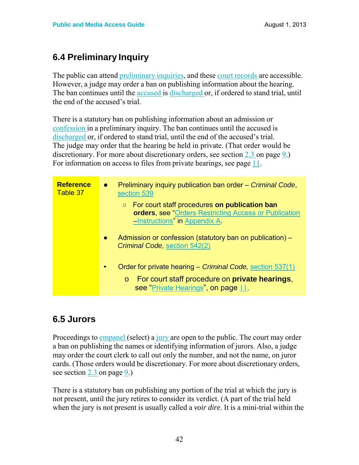### **6.4 Preliminary Inquiry**

The public can attend preliminary inquiries, and these court records are accessible. However, a judge may order a ban on publishing information about the hearing. The ban continues until the accused is discharged or, if ordered to stand trial, until the end of the accused's trial.

There is a statutory ban on publishing information about an admission or confession in a preliminary inquiry. The ban continues until the accused is discharged or, if ordered to stand trial, until the end of the accused's trial. The judge may order that the hearing be held in private. (That order would be discretionary. For more about discretionary orders, see section 2.3 on page 9.) For information on access to files from private hearings, see page 11.

| <b>Reference</b><br>Table 37 | Preliminary inquiry publication ban order – Criminal Code,<br>$\bullet$<br>section 539<br>$\circ$ For court staff procedures on publication ban<br>orders, see "Orders Restricting Access or Publication<br>-Instructions" in Appendix A |
|------------------------------|------------------------------------------------------------------------------------------------------------------------------------------------------------------------------------------------------------------------------------------|
|                              | Admission or confession (statutory ban on publication) –<br>$\bullet$<br>Criminal Code, section 542(2)                                                                                                                                   |
|                              | Order for private hearing – Criminal Code, section 537(1)<br>For court staff procedure on <b>private hearings</b> ,<br>$\circ$<br>see "Private Hearings", on page 11.                                                                    |

### **6.5 Jurors**

Proceedings to empanel (select) a jury are open to the public. The court may order a ban on publishing the names or identifying information of jurors. Also, a judge may order the court clerk to call out only the number, and not the name, on juror cards. (Those orders would be discretionary. For more about discretionary orders, see section 2.3 on page 9.)

There is a statutory ban on publishing any portion of the trial at which the jury is not present, until the jury retires to consider its verdict. (A part of the trial held when the jury is not present is usually called a *voir dire*. It is a mini-trial within the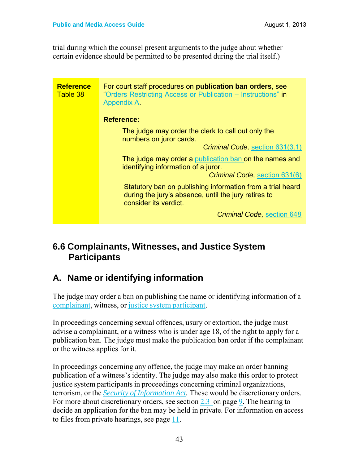trial during which the counsel present arguments to the judge about whether certain evidence should be permitted to be presented during the trial itself.)

| <b>Reference</b><br>Table 38 | For court staff procedures on <b>publication ban orders</b> , see<br>"Orders Restricting Access or Publication - Instructions" in<br><b>Appendix A</b> |
|------------------------------|--------------------------------------------------------------------------------------------------------------------------------------------------------|
|                              | <b>Reference:</b>                                                                                                                                      |
|                              | The judge may order the clerk to call out only the<br>numbers on juror cards.                                                                          |
|                              | Criminal Code, section 631(3.1)                                                                                                                        |
|                              | The judge may order a publication ban on the names and<br>identifying information of a juror.                                                          |
|                              | Criminal Code, section 631(6)                                                                                                                          |
|                              | Statutory ban on publishing information from a trial heard<br>during the jury's absence, until the jury retires to<br>consider its verdict.            |
|                              | <b>Criminal Code, section 648</b>                                                                                                                      |

### **6.6 Complainants, Witnesses, and Justice System Participants**

### **A. Name or identifying information**

The judge may order a ban on publishing the name or identifying information of a complainant, witness, or justice system participant.

In proceedings concerning sexual offences, usury or extortion, the judge must advise a complainant, or a witness who is under age 18, of the right to apply for a publication ban. The judge must make the publication ban order if the complainant or the witness applies for it.

In proceedings concerning any offence, the judge may make an order banning publication of a witness's identity. The judge may also make this order to protect justice system participants in proceedings concerning criminal organizations, terrorism, or the *Security of Information Act.* These would be discretionary orders. For more about discretionary orders, see section 2.3 on page 9. The hearing to decide an application for the ban may be held in private. For information on access to files from private hearings, see page 11.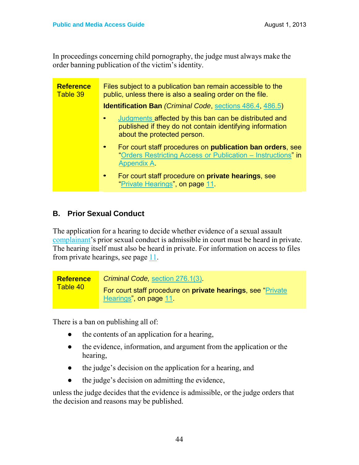In proceedings concerning child pornography, the judge must always make the order banning publication of the victim's identity.

| <b>Reference</b><br>Table 39 | Files subject to a publication ban remain accessible to the<br>public, unless there is also a sealing order on the file.                               |
|------------------------------|--------------------------------------------------------------------------------------------------------------------------------------------------------|
|                              | <b>Identification Ban (Criminal Code, sections 486.4, 486.5)</b>                                                                                       |
|                              | Judgments affected by this ban can be distributed and<br>published if they do not contain identifying information<br>about the protected person.       |
|                              | For court staff procedures on <b>publication ban orders</b> , see<br>"Orders Restricting Access or Publication – Instructions" in<br><b>Appendix A</b> |
|                              | For court staff procedure on <b>private hearings</b> , see<br>"Private Hearings", on page 11.                                                          |

### **B. Prior Sexual Conduct**

The application for a hearing to decide whether evidence of a sexual assault complainant's prior sexual conduct is admissible in court must be heard in private. The hearing itself must also be heard in private. For information on access to files from private hearings, see page 11.

| <b>Reference</b> | Criminal Code, section 276.1(3)                                                               |
|------------------|-----------------------------------------------------------------------------------------------|
| Table 40         | For court staff procedure on <b>private hearings</b> , see "Private<br>Hearings", on page 11. |

There is a ban on publishing all of:

- the contents of an application for a hearing,
- the evidence, information, and argument from the application or the hearing,
- the judge's decision on the application for a hearing, and
- the judge's decision on admitting the evidence,

unless the judge decides that the evidence is admissible, or the judge orders that the decision and reasons may be published.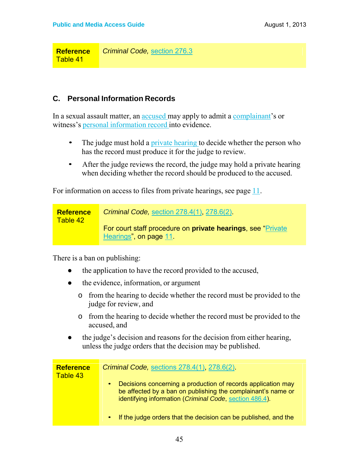**Reference** Table 41 *Criminal Code,* section 276.3

#### **C. Personal Information Records**

In a sexual assault matter, an accused may apply to admit a complainant's or witness's personal information record into evidence.

- The judge must hold a private hearing to decide whether the person who has the record must produce it for the judge to review.
- After the judge reviews the record, the judge may hold a private hearing when deciding whether the record should be produced to the accused.

For information on access to files from private hearings, see page 11.

| <b>Reference</b><br>Table 42 | <b>Criminal Code, section 278.4(1), 278.6(2)</b>                                               |
|------------------------------|------------------------------------------------------------------------------------------------|
|                              | For court staff procedure on <b>private hearings</b> , see "Private"<br>Hearings", on page 11. |

There is a ban on publishing:

- the application to have the record provided to the accused,
- the evidence, information, or argument
	- o from the hearing to decide whether the record must be provided to the judge for review, and
	- o from the hearing to decide whether the record must be provided to the accused, and
- the judge's decision and reasons for the decision from either hearing, unless the judge orders that the decision may be published.

| <b>Reference</b><br>Table 43 | Criminal Code, sections 278.4(1), 278.6(2)                                                                                                                                                           |
|------------------------------|------------------------------------------------------------------------------------------------------------------------------------------------------------------------------------------------------|
|                              | Decisions concerning a production of records application may<br>$\bullet$<br>be affected by a ban on publishing the complainant's name or<br>identifying information (Criminal Code, section 486.4). |
|                              | • If the judge orders that the decision can be published, and the                                                                                                                                    |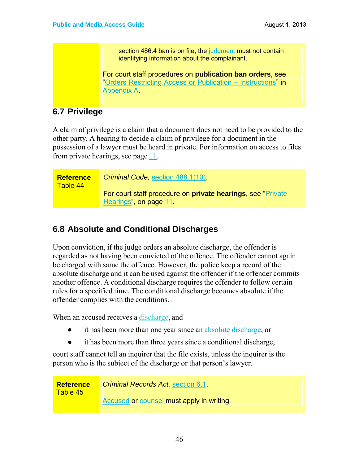section 486.4 ban is on file, the judgment must not contain identifying information about the complainant.

For court staff procedures on **publication ban orders**, see "Orders Restricting Access or Publication – Instructions" in Appendix A.

### **6.7 Privilege**

A claim of privilege is a claim that a document does not need to be provided to the other party. A hearing to decide a claim of privilege for a document in the possession of a lawyer must be heard in private. For information on access to files from private hearings, see page 11.

| <b>Reference</b><br>Table 44 | Criminal Code, section 488.1(10).                                                              |
|------------------------------|------------------------------------------------------------------------------------------------|
|                              | For court staff procedure on <b>private hearings</b> , see "Private"<br>Hearings", on page 11. |

### **6.8 Absolute and Conditional Discharges**

Upon conviction, if the judge orders an absolute discharge, the offender is regarded as not having been convicted of the offence. The offender cannot again be charged with same the offence. However, the police keep a record of the absolute discharge and it can be used against the offender if the offender commits another offence. A conditional discharge requires the offender to follow certain rules for a specified time. The conditional discharge becomes absolute if the offender complies with the conditions.

When an accused receives a discharge, and

- it has been more than one year since an absolute discharge, or
- it has been more than three years since a conditional discharge,

court staff cannot tell an inquirer that the file exists, unless the inquirer is the person who is the subject of the discharge or that person's lawyer.

**Reference** Table 45 *Criminal Records Act,* section 6.1. Accused or counsel must apply in writing.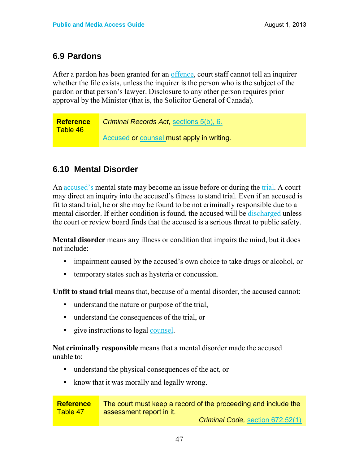### **6.9 Pardons**

After a pardon has been granted for an offence, court staff cannot tell an inquirer whether the file exists, unless the inquirer is the person who is the subject of the pardon or that person's lawyer. Disclosure to any other person requires prior approval by the Minister (that is, the Solicitor General of Canada).

*Criminal Records Act,* sections 5(b), 6. Accused or counsel must apply in writing. **Reference** Table 46

### **6.10 Mental Disorder**

An accused's mental state may become an issue before or during the trial. A court may direct an inquiry into the accused's fitness to stand trial. Even if an accused is fit to stand trial, he or she may be found to be not criminally responsible due to a mental disorder. If either condition is found, the accused will be discharged unless the court or review board finds that the accused is a serious threat to public safety.

**Mental disorder** means any illness or condition that impairs the mind, but it does not include:

- impairment caused by the accused's own choice to take drugs or alcohol, or
- temporary states such as hysteria or concussion.

Unfit to stand trial means that, because of a mental disorder, the accused cannot:

- understand the nature or purpose of the trial,
- understand the consequences of the trial, or
- give instructions to legal counsel.

**Not criminally responsible** means that a mental disorder made the accused unable to:

- understand the physical consequences of the act, or
- know that it was morally and legally wrong.

**Reference** Table 47 The court must keep a record of the proceeding and include the assessment report in it. *Criminal Code,* section 672.52(1)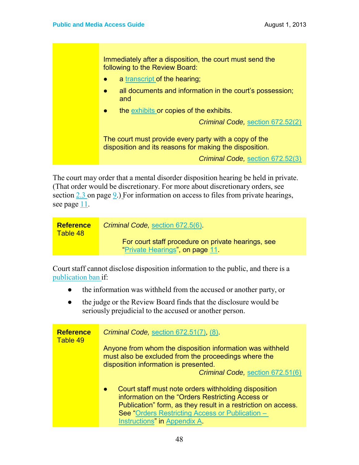Immediately after a disposition, the court must send the following to the Review Board:

- a transcript of the hearing;
- all documents and information in the court's possession; and
- the exhibits or copies of the exhibits.

*Criminal Code,* section 672.52(2)

The court must provide every party with a copy of the disposition and its reasons for making the disposition.

*Criminal Code,* section 672.52(3)

The court may order that a mental disorder disposition hearing be held in private. (That order would be discretionary. For more about discretionary orders, see section  $2.3$  on page  $9.$ ) For information on access to files from private hearings, see page  $11$ .

| <b>Reference</b><br>Table 48 | Criminal Code, section 672.5(6).                                                      |
|------------------------------|---------------------------------------------------------------------------------------|
|                              | For court staff procedure on private hearings, see<br>"Private Hearings", on page 11. |

Court staff cannot disclose disposition information to the public, and there is a publication ban if:

- the information was withheld from the accused or another party, or
- the judge or the Review Board finds that the disclosure would be seriously prejudicial to the accused or another person.

| <b>Reference</b><br>Table 49 | Criminal Code, section 672.51(7), (8)                                                                                                                                                                                                                                     |
|------------------------------|---------------------------------------------------------------------------------------------------------------------------------------------------------------------------------------------------------------------------------------------------------------------------|
|                              | Anyone from whom the disposition information was withheld<br>must also be excluded from the proceedings where the                                                                                                                                                         |
|                              | disposition information is presented.<br>Criminal Code, section 672.51(6)                                                                                                                                                                                                 |
|                              | Court staff must note orders withholding disposition<br>$\bullet$<br>information on the "Orders Restricting Access or<br>Publication" form, as they result in a restriction on access.<br>See "Orders Restricting Access or Publication -<br>Instructions" in Appendix A. |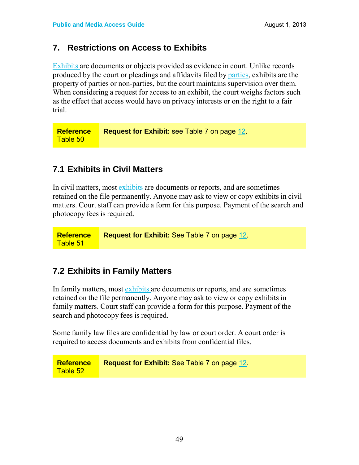### **7. Restrictions on Access to Exhibits**

Exhibits are documents or objects provided as evidence in court. Unlike records produced by the court or pleadings and affidavits filed by parties, exhibits are the property of parties or non-parties, but the court maintains supervision over them. When considering a request for access to an exhibit, the court weighs factors such as the effect that access would have on privacy interests or on the right to a fair trial.

**Reference** Table 50 **Request for Exhibit:** see Table 7 on page 12.

### **7.1 Exhibits in Civil Matters**

In civil matters, most exhibits are documents or reports, and are sometimes retained on the file permanently. Anyone may ask to view or copy exhibits in civil matters. Court staff can provide a form for this purpose. Payment of the search and photocopy fees is required.

**Reference** Table 51 **Request for Exhibit:** See Table 7 on page 12.

### **7.2 Exhibits in Family Matters**

In family matters, most exhibits are documents or reports, and are sometimes retained on the file permanently. Anyone may ask to view or copy exhibits in family matters. Court staff can provide a form for this purpose. Payment of the search and photocopy fees is required.

Some family law files are confidential by law or court order. A court order is required to access documents and exhibits from confidential files.

**Reference** Table 52 **Request for Exhibit:** See Table 7 on page 12.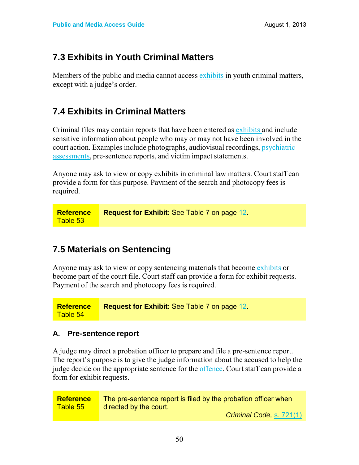### **7.3 Exhibits in Youth Criminal Matters**

Members of the public and media cannot access exhibits in youth criminal matters, except with a judge's order.

### **7.4 Exhibits in Criminal Matters**

Criminal files may contain reports that have been entered as exhibits and include sensitive information about people who may or may not have been involved in the court action. Examples include photographs, audiovisual recordings, psychiatric assessments, pre-sentence reports, and victim impact statements.

Anyone may ask to view or copy exhibits in criminal law matters. Court staff can provide a form for this purpose. Payment of the search and photocopy fees is required.

**Reference** Table 53 **Request for Exhibit:** See Table 7 on page 12.

### **7.5 Materials on Sentencing**

Anyone may ask to view or copy sentencing materials that become exhibits or become part of the court file. Court staff can provide a form for exhibit requests. Payment of the search and photocopy fees is required.

**Reference Request for Exhibit:** See Table 7 on page 12.

## Table 54

#### **A. Pre-sentence report**

A judge may direct a probation officer to prepare and file a pre-sentence report. The report's purpose is to give the judge information about the accused to help the judge decide on the appropriate sentence for the offence. Court staff can provide a form for exhibit requests.

| <b>Reference</b> | The pre-sentence report is filed by the probation officer when |
|------------------|----------------------------------------------------------------|
| Table 55         | directed by the court.                                         |
|                  | Criminal Code, s. 721(1)                                       |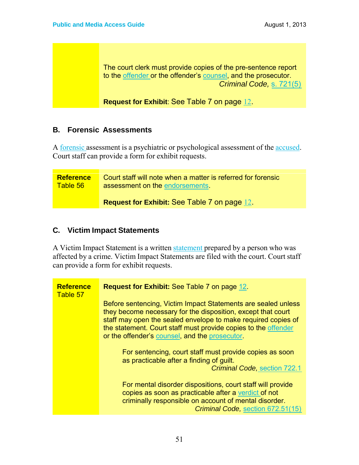The court clerk must provide copies of the pre-sentence report to the offender or the offender's counsel, and the prosecutor. *Criminal Code,* s. 721(5)

**Request for Exhibit**: See Table 7 on page 12.

#### **B. Forensic Assessments**

A forensic assessment is a psychiatric or psychological assessment of the accused. Court staff can provide a form for exhibit requests.

**Reference** Table 56 Court staff will note when a matter is referred for forensic assessment on the endorsements.

**Request for Exhibit:** See Table 7 on page 12.

#### **C. Victim Impact Statements**

A Victim Impact Statement is a written statement prepared by a person who was affected by a crime. Victim Impact Statements are filed with the court. Court staff can provide a form for exhibit requests.

| <b>Reference</b><br>Table 57 | <b>Request for Exhibit: See Table 7 on page 12.</b>                                                                                                                                                                                                                                                                |
|------------------------------|--------------------------------------------------------------------------------------------------------------------------------------------------------------------------------------------------------------------------------------------------------------------------------------------------------------------|
|                              | Before sentencing, Victim Impact Statements are sealed unless<br>they become necessary for the disposition, except that court<br>staff may open the sealed envelope to make required copies of<br>the statement. Court staff must provide copies to the offender<br>or the offender's counsel, and the prosecutor. |
|                              | For sentencing, court staff must provide copies as soon<br>as practicable after a finding of guilt.<br><b>Criminal Code, section 722.1</b>                                                                                                                                                                         |
|                              | For mental disorder dispositions, court staff will provide<br>copies as soon as practicable after a verdict of not<br>criminally responsible on account of mental disorder.<br>Criminal Code, section 672.51(15)                                                                                                   |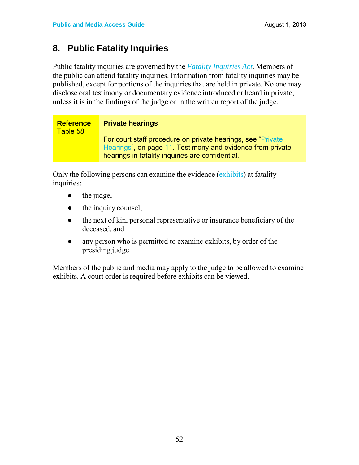### **8. Public Fatality Inquiries**

Public fatality inquiries are governed by the *Fatality Inquiries Act*. Members of the public can attend fatality inquiries. Information from fatality inquiries may be published, except for portions of the inquiries that are held in private. No one may disclose oral testimony or documentary evidence introduced or heard in private, unless it is in the findings of the judge or in the written report of the judge.

| <b>Reference</b><br>Table 58 | <b>Private hearings</b>                                                                                                    |
|------------------------------|----------------------------------------------------------------------------------------------------------------------------|
|                              | For court staff procedure on private hearings, see "Private"<br>Hearings", on page 11. Testimony and evidence from private |
|                              | hearings in fatality inquiries are confidential.                                                                           |

Only the following persons can examine the evidence (exhibits) at fatality inquiries:

- $\bullet$  the judge,
- $\bullet$  the inquiry counsel,
- the next of kin, personal representative or insurance beneficiary of the deceased, and
- any person who is permitted to examine exhibits, by order of the presiding judge.

Members of the public and media may apply to the judge to be allowed to examine exhibits. A court order is required before exhibits can be viewed.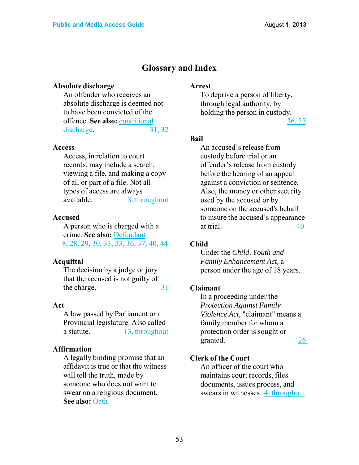### **Glossary and Index**

#### **Absolute discharge**

An offender who receives an absolute discharge is deemed not to have been convicted of the offence. **See also:** conditional discharge. 31, 32

#### **Access**

Access, in relation to court records, may include a search, viewing a file, and making a copy of all or part of a file. Not all types of access are always available. 3, throughout

#### **Accused**

A person who is charged with a crime. **See also:** Defendant 8, 28, 29, 30, 33, 33, 36, 37, 40, 44

#### **Acquittal**

The decision by a judge or jury that the accused is not guilty of the charge. 31

#### **Act**

A law passed by Parliament or a Provincial legislature. Also called a statute. 13, throughout

#### **Affirmation**

A legally binding promise that an affidavit is true or that the witness will tell the truth, made by someone who does not want to swear on a religious document. **See also:** Oath

#### **Arrest**

To deprive a person of liberty, through legal authority, by holding the person in custody.

36, 37

#### **Bail**

An accused's release from custody before trial or an offender's release from custody before the hearing of an appeal against a conviction or sentence. Also, the money or other security used by the accused or by someone on the accused's behalf to insure the accused's appearance at trial. 40

#### **Child**

Under the *Child, Youth and Family Enhancement Act,* a person under the age of 18 years.

#### **Claimant**

In a proceeding under the *Protection Against Family Violence Act,* "claimant" means a family member for whom a protection order is sought or granted. 26

#### **Clerk of the Court**

An officer of the court who maintains court records, files documents, issues process, and swears in witnesses. 4, throughout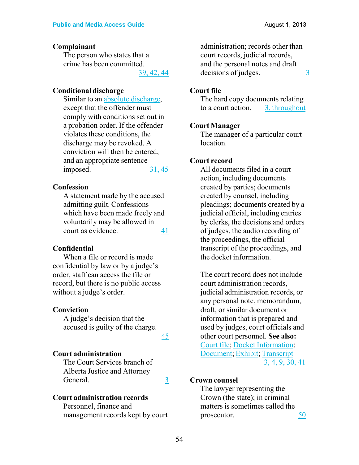#### **Complainant**

The person who states that a crime has been committed.

39, 42, 44

#### **Conditional discharge**

Similar to an absolute discharge, except that the offender must comply with conditions set out in a probation order. If the offender violates these conditions, the discharge may be revoked. A conviction will then be entered, and an appropriate sentence imposed. 31, 45

#### **Confession**

A statement made by the accused admitting guilt. Confessions which have been made freely and voluntarily may be allowed in court as evidence. 41

#### **Confidential**

When a file or record is made confidential by law or by a judge's order, staff can access the file or record, but there is no public access without a judge's order.

#### **Conviction**

A judge's decision that the accused is guilty of the charge.

45

#### **Court administration**

The Court Services branch of Alberta Justice and Attorney General. 3

#### **Court administration records**

Personnel, finance and management records kept by court administration; records other than court records, judicial records, and the personal notes and draft  $decisions of judges.$   $\frac{3}{2}$ 

#### **Court file**

The hard copy documents relating to a court action. 3, throughout

#### **Court Manager**

The manager of a particular court location.

#### **Court record**

All documents filed in a court action, including documents created by parties; documents created by counsel, including pleadings; documents created by a judicial official, including entries by clerks, the decisions and orders of judges, the audio recording of the proceedings, the official transcript of the proceedings, and the docket information.

The court record does not include court administration records, judicial administration records, or any personal note, memorandum, draft, or similar document or information that is prepared and used by judges, court officials and other court personnel. **See also:** Court file; Docket Information; Document; Exhibit; Transcript 3, 4, 9, 30, 41

#### **Crown counsel**

The lawyer representing the Crown (the state); in criminal matters is sometimes called the prosecutor. 50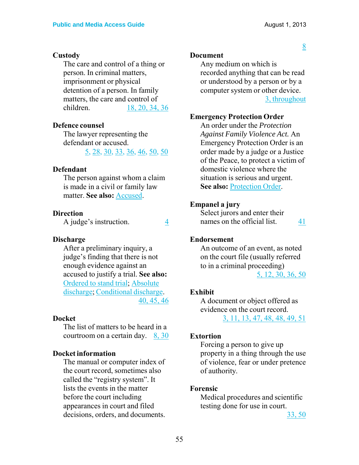8

#### **Custody**

The care and control of a thing or person. In criminal matters, imprisonment or physical detention of a person. In family matters, the care and control of children. 18, 20, 34, 36

#### **Defence counsel**

The lawyer representing the defendant or accused.

5, 28, 30, 33, 36, 46, 50, 50

#### **Defendant**

The person against whom a claim is made in a civil or family law matter. **See also:** Accused.

#### **Direction**

A judge's instruction. 4

#### **Discharge**

After a preliminary inquiry, a judge's finding that there is not enough evidence against an accused to justify a trial. **See also:** Ordered to stand trial; Absolute discharge; Conditional discharge. 40, 45, 46

#### **Docket**

The list of matters to be heard in a courtroom on a certain day. 8, 30

#### **Docket information**

The manual or computer index of the court record, sometimes also called the "registry system". It lists the events in the matter before the court including appearances in court and filed decisions, orders, and documents.

#### **Document**

Any medium on which is recorded anything that can be read or understood by a person or by a computer system or other device. 3, throughout

#### **Emergency Protection Order**

An order under the *Protection Against Family Violence Act.* An Emergency Protection Order is an order made by a judge or a Justice of the Peace, to protect a victim of domestic violence where the situation is serious and urgent. **See also:** Protection Order.

#### **Empanel a jury**

Select jurors and enter their names on the official list. 41

#### **Endorsement**

An outcome of an event, as noted on the court file (usually referred to in a criminal proceeding) 5, 12, 30, 36, 50

#### **Exhibit**

A document or object offered as evidence on the court record. 3, 11, 13, 47, 48, 48, 49, 51

#### **Extortion**

Forcing a person to give up property in a thing through the use of violence, fear or under pretence of authority.

#### **Forensic**

Medical procedures and scientific testing done for use in court.

33, 50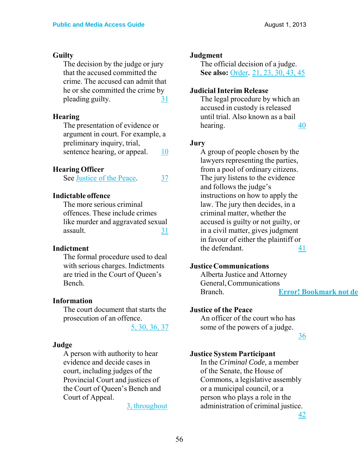#### **Guilty**

The decision by the judge or jury that the accused committed the crime. The accused can admit that he or she committed the crime by pleading guilty.  $\frac{31}{2}$ 

#### **Hearing**

The presentation of evidence or argument in court. For example, a preliminary inquiry, trial, sentence hearing, or appeal. 10

### **Hearing Officer**

See Justice of the Peace. 37

#### **Indictable offence**

The more serious criminal offences. These include crimes like murder and aggravated sexual assault. 31

#### **Indictment**

The formal procedure used to deal with serious charges. Indictments are tried in the Court of Queen's Bench.

#### **Information**

The court document that starts the prosecution of an offence.

5, 30, 36, 37

#### **Judge**

A person with authority to hear evidence and decide cases in court, including judges of the Provincial Court and justices of the Court of Queen's Bench and Court of Appeal.

3, throughout

#### **Judgment**

The official decision of a judge. **See also:** Order. 21, 23, 30, 43, 45

#### **Judicial Interim Release**

The legal procedure by which an accused in custody is released until trial. Also known as a bail hearing. 40

#### **Jury**

A group of people chosen by the lawyers representing the parties, from a pool of ordinary citizens. The jury listens to the evidence and follows the judge's instructions on how to apply the law. The jury then decides, in a criminal matter, whether the accused is guilty or not guilty, or in a civil matter, gives judgment in favour of either the plaintiff or the defendant. 41

#### **Justice Communications**

Alberta Justice and Attorney General, Communications Branch. **Error! Bookmark not de**

#### **Justice of the Peace**

An officer of the court who has some of the powers of a judge.

36

#### **Justice System Participant**

In the *Criminal Code,* a member of the Senate, the House of Commons, a legislative assembly or a municipal council, or a person who plays a role in the administration of criminal justice.

42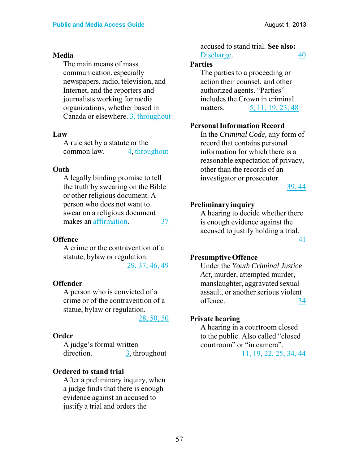#### **Media**

The main means of mass communication, especially newspapers, radio, television, and Internet, and the reporters and journalists working for media organizations, whether based in Canada or elsewhere. 3, throughout

#### **Law**

A rule set by a statute or the common law. 4, throughout

#### **Oath**

A legally binding promise to tell the truth by swearing on the Bible or other religious document. A person who does not want to swear on a religious document makes an affirmation. 37

#### **Offence**

A crime or the contravention of a statute, bylaw or regulation. 29, 37, 46, 49

#### **Offender**

A person who is convicted of a crime or of the contravention of a statue, bylaw or regulation.

28, 50, 50

#### **Order**

A judge's formal written direction. 3, throughout

#### **Ordered to stand trial**

After a preliminary inquiry, when a judge finds that there is enough evidence against an accused to justify a trial and orders the

accused to stand trial. **See also:** Discharge. 40

#### **Parties**

The parties to a proceeding or action their counsel, and other authorized agents. "Parties" includes the Crown in criminal matters. 5, 11, 19, 23, 48

#### **Personal Information Record**

In the *Criminal Code,* any form of record that contains personal information for which there is a reasonable expectation of privacy, other than the records of an investigator or prosecutor.

39, 44

#### **Preliminary inquiry**

A hearing to decide whether there is enough evidence against the accused to justify holding a trial. 41

#### **Presumptive Offence**

Under the *Youth Criminal Justice Act,* murder, attempted murder, manslaughter, aggravated sexual assault, or another serious violent offence. 34

#### **Private hearing**

A hearing in a courtroom closed to the public. Also called "closed courtroom" or "in camera". 11, 19, 22, 25, 34, 44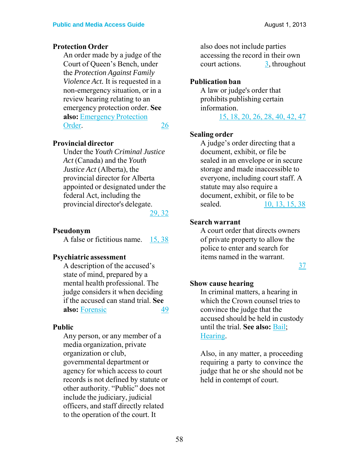#### **Protection Order**

An order made by a judge of the Court of Queen's Bench, under the *Protection Against Family Violence Act.* It is requested in a non-emergency situation, or in a review hearing relating to an emergency protection order. **See also:** Emergency Protection Order. 26

#### **Provincial director**

Under the *Youth Criminal Justice Act* (Canada) and the *Youth Justice Act* (Alberta), the provincial director for Alberta appointed or designated under the federal Act, including the provincial director's delegate.

29, 32

#### **Pseudonym**

A false or fictitious name. 15, 38

#### **Psychiatric assessment**

A description of the accused's state of mind, prepared by a mental health professional. The judge considers it when deciding if the accused can stand trial. **See also:** Forensic 49

#### **Public**

Any person, or any member of a media organization, private organization or club, governmental department or agency for which access to court records is not defined by statute or other authority. "Public" does not include the judiciary, judicial officers, and staff directly related to the operation of the court. It

also does not include parties accessing the record in their own court actions. 3, throughout

#### **Publication ban**

A law or judge's order that prohibits publishing certain information. 15, 18, 20, 26, 28, 40, 42, 47

#### **Sealing order**

A judge's order directing that a document, exhibit, or file be sealed in an envelope or in secure storage and made inaccessible to everyone, including court staff. A statute may also require a document, exhibit, or file to be sealed. 10, 13, 15, 38

#### **Search warrant**

A court order that directs owners of private property to allow the police to enter and search for items named in the warrant.

37

#### **Show cause hearing**

In criminal matters, a hearing in which the Crown counsel tries to convince the judge that the accused should be held in custody until the trial. **See also:** Bail; Hearing.

Also, in any matter, a proceeding requiring a party to convince the judge that he or she should not be held in contempt of court.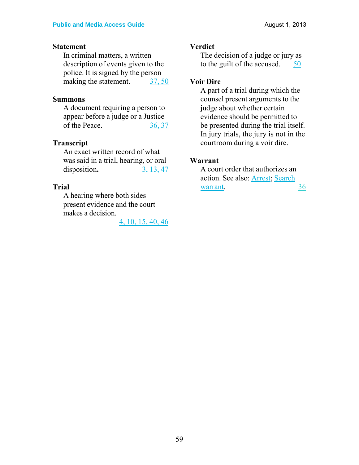#### **Statement**

In criminal matters, a written description of events given to the police. It is signed by the person making the statement. 37, 50

#### **Summons**

A document requiring a person to appear before a judge or a Justice of the Peace. 36, 37

#### **Transcript**

An exact written record of what was said in a trial, hearing, or oral disposition. 3, 13, 47

#### **Trial**

A hearing where both sides present evidence and the court makes a decision.

4, 10, 15, 40, 46

#### **Verdict**

The decision of a judge or jury as to the guilt of the accused.  $\frac{50}{9}$ 

#### **Voir Dire**

A part of a trial during which the counsel present arguments to the judge about whether certain evidence should be permitted to be presented during the trial itself. In jury trials, the jury is not in the courtroom during a voir dire.

#### **Warrant**

A court order that authorizes an action. See also: Arrest; Search warrant. 36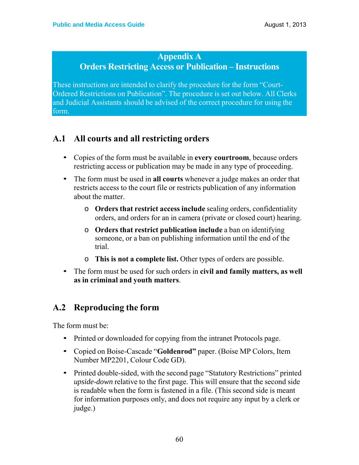### **Appendix A**

### **Orders Restricting Access or Publication – Instructions**

These instructions are intended to clarify the procedure for the form "Court-Ordered Restrictions on Publication". The procedure is set out below. All Clerks and Judicial Assistants should be advised of the correct procedure for using the form.

### **A.1 All courts and all restricting orders**

- Copies of the form must be available in **every courtroom**, because orders restricting access or publication may be made in any type of proceeding.
- The form must be used in **all courts** whenever a judge makes an order that restricts access to the court file or restricts publication of any information about the matter.
	- o **Orders that restrict access include** sealing orders, confidentiality orders, and orders for an in camera (private or closed court) hearing.
	- o **Orders that restrict publication include** a ban on identifying someone, or a ban on publishing information until the end of the trial.
	- o **This is not a complete list.** Other types of orders are possible.
- The form must be used for such orders in **civil and family matters, as well as in criminal and youth matters**.

### **A.2 Reproducing the form**

The form must be:

- Printed or downloaded for copying from the intranet Protocols page.
- Copied on Boise-Cascade "**Goldenrod"** paper. (Boise MP Colors, Item Number MP2201, Colour Code GD).
- Printed double-sided, with the second page "Statutory Restrictions" printed *upside-down* relative to the first page. This will ensure that the second side is readable when the form is fastened in a file. (This second side is meant for information purposes only, and does not require any input by a clerk or judge.)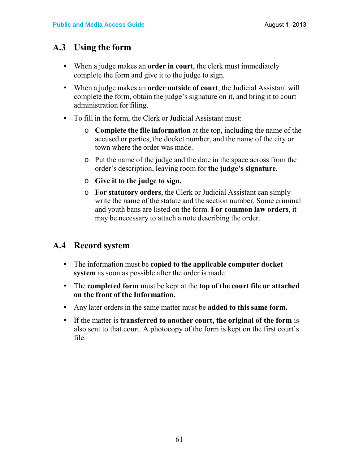### **A.3 Using the form**

- When a judge makes an **order in court**, the clerk must immediately complete the form and give it to the judge to sign.
- When a judge makes an **order outside of court**, the Judicial Assistant will complete the form, obtain the judge's signature on it, and bring it to court administration for filing.
- To fill in the form, the Clerk or Judicial Assistant must:
	- o **Complete the file information** at the top, including the name of the accused or parties, the docket number, and the name of the city or town where the order was made.
	- o Put the name of the judge and the date in the space across from the order's description, leaving room for **the judge's signature.**
	- o **Give it to the judge to sign.**
	- o **For statutory orders**, the Clerk or Judicial Assistant can simply write the name of the statute and the section number. Some criminal and youth bans are listed on the form. **For common law orders**, it may be necessary to attach a note describing the order.

### **A.4 Record system**

- The information must be **copied to the applicable computer docket system** as soon as possible after the order is made.
- The **completed form** must be kept at the **top of the court file or attached on the front of the Information**.
- Any later orders in the same matter must be **added to this same form.**
- If the matter is **transferred to another court, the original of the form** is also sent to that court. A photocopy of the form is kept on the first court's file.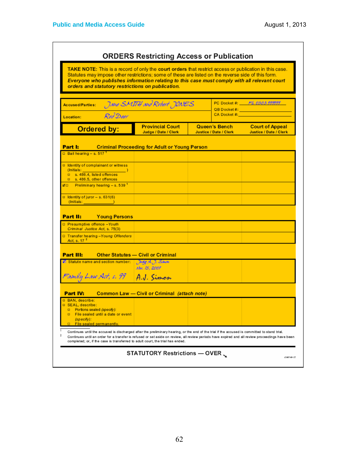| Statutes may impose other restrictions; some of these are listed on the reverse side of this form.<br>Everyone who publishes information relating to this case must comply with all relevant court<br>orders and statutory restrictions on publication. |                                                      |                                                                                                                                                     |                                                         |
|---------------------------------------------------------------------------------------------------------------------------------------------------------------------------------------------------------------------------------------------------------|------------------------------------------------------|-----------------------------------------------------------------------------------------------------------------------------------------------------|---------------------------------------------------------|
| Jane SMITH and Rebert JONES<br>Accused/Parties:<br>Red Deer                                                                                                                                                                                             |                                                      | PC Docket #: FL 0303 999999<br>QB Docket #:<br>CA Docket #: All and All and All and All and All and All and All and All and All and All and All and |                                                         |
| Location:<br><b>Ordered by:</b>                                                                                                                                                                                                                         | <b>Provincial Court</b><br>Judge / Date / Clerk      | Queen's Bench<br><b>Justice / Date / Clerk</b>                                                                                                      | <b>Court of Appeal</b><br><b>Justice / Date / Clerk</b> |
| Part I:                                                                                                                                                                                                                                                 | <b>Criminal Proceeding for Adult or Young Person</b> |                                                                                                                                                     |                                                         |
| $\Box$ Bail hearing - s. 517 <sup>1</sup>                                                                                                                                                                                                               |                                                      |                                                                                                                                                     |                                                         |
| d Identity of complainant or witness<br>s. 486.4, listed offences<br>$\Box$ s. 486.5, other offences                                                                                                                                                    |                                                      |                                                                                                                                                     |                                                         |
| $\varnothing$ D Preliminary hearing - s. 539 <sup>1</sup><br>$\Box$ Identity of juror - s. 631(6)<br>$($ lnitials: $\qquad \qquad$                                                                                                                      |                                                      |                                                                                                                                                     |                                                         |
| Part II:<br><b>Young Persons</b><br>Presumptive offence - Youth<br>Criminal Justice Act, s. 75(3)<br>Transfer hearing - Young Offenders                                                                                                                 |                                                      |                                                                                                                                                     |                                                         |
| Act. s. $172$<br><b>Part III:</b>                                                                                                                                                                                                                       | <b>Other Statutes - Civil or Criminal</b>            |                                                                                                                                                     |                                                         |
| Statute name and section number:                                                                                                                                                                                                                        | Judg A. J. Sinon<br>Ahv. 15, 2007                    |                                                                                                                                                     |                                                         |
| Family Law Act, s. 99 A.J. Simon                                                                                                                                                                                                                        |                                                      |                                                                                                                                                     |                                                         |
| Part IV:                                                                                                                                                                                                                                                | Common Law - Civil or Criminal (attach note)         |                                                                                                                                                     |                                                         |
|                                                                                                                                                                                                                                                         |                                                      |                                                                                                                                                     |                                                         |
| D Portions sealed (specify):<br>□ File sealed until a date or event                                                                                                                                                                                     |                                                      |                                                                                                                                                     |                                                         |
| D BAN, describe:<br>SEAL, describe:<br>$(specify)$ :<br>$\Box$ File sealed permanently.                                                                                                                                                                 |                                                      |                                                                                                                                                     |                                                         |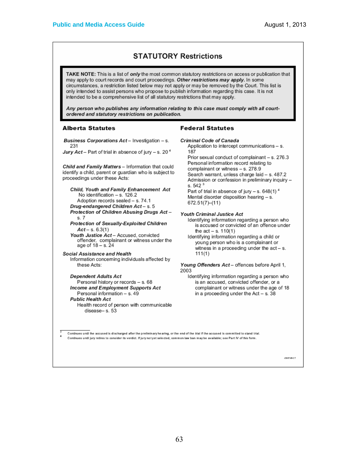#### **STATUTORY Restrictions**

TAKE NOTE: This is a list of only the most common statutory restrictions on access or publication that may apply to court records and court proceedings. Other restrictions may apply. In some circumstances, a restriction listed below may not apply or may be removed by the Court. This list is only intended to assist persons who propose to publish information regarding this case. It is not intended to be a comprehensive list of all statutory restrictions that may apply.

Any person who publishes any information relating to this case must comply with all courtordered and statutory restrictions on publication.

#### **Alberta Statutes**

Business Corporations Act - Investigation - s.

Jury Act - Part of trial in absence of jury - s. 20<sup>4</sup>

Child and Family Matters - Information that could identify a child, parent or guardian who is subject to proceedings under these Acts:

Child, Youth and Family Enhancement Act No identification - s. 126.2 Adoption records sealed - s. 74.1 Drug-endangered Children Act-s.5 Protection of Children Abusing Drugs Act $s.7$ 

Protection of Sexually-Exploited Children  $Act - s. 6.3(1)$ 

Youth Justice Act - Accused, convicted offender, complainant or witness under the age of  $18 - s$ ,  $24$ 

Social Assistance and Health Information concerning individuals affected by these Acts:

#### **Dependent Adults Act**

Personal history or records - s. 68 **Income and Employment Supports Act** Personal information - s. 49 **Public Health Act** Health record of person with communicable disease-s. 53

#### **Federal Statutes**

```
Criminal Code of Canada
```
Application to intercept communications - s. 187

Prior sexual conduct of complainant - s. 276.3 Personal information record relating to complainant or witness - s. 278.9 Search warrant, unless charge laid - s. 487.2 Admission or confession in preliminary inquiry s.  $542<sup>3</sup>$ Part of trial in absence of jury - s.  $648(1)^4$ Mental disorder disposition hearing - s.  $672.51(7)–(11)$ 

Youth Criminal Justice Act

Identifying information regarding a person who is accused or convicted of an offence under the  $act - s. 110(1)$ 

Identifying information regarding a child or young person who is a complainant or witness in a proceeding under the act - s.  $111(1)$ 

Young Offenders Act - offences before April 1, 2003

Identifying information regarding a person who is an accused, convicted offender, or a complainant or witness under the age of 18 in a proceeding under the Act  $-$  s. 38

Continues until the accused is discharged after the preliminary hearing, or the end of the trial if the accused is committed to stand trial. Continues until jury retires to consider its verdict. If jury not yet selected, common law ban may be available; see Part IV of this form.

12007-09-27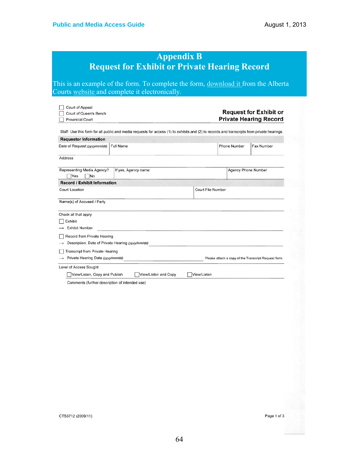|                                                                                                                                       |                                                                                                                                             |                          |                     | <b>Private Hearing Record</b>                        |
|---------------------------------------------------------------------------------------------------------------------------------------|---------------------------------------------------------------------------------------------------------------------------------------------|--------------------------|---------------------|------------------------------------------------------|
|                                                                                                                                       | Staff: Use this form for all public and media requests for access (1) to exhibits and (2) to records and transcripts from private hearings. |                          |                     |                                                      |
| <b>Requestor Information</b>                                                                                                          |                                                                                                                                             |                          |                     |                                                      |
| Date of Request (yyyy/mm/dd)                                                                                                          | Full Name                                                                                                                                   |                          | <b>Phone Number</b> | Fax Number                                           |
| Address                                                                                                                               |                                                                                                                                             |                          |                     |                                                      |
| Representing Media Agency?<br>Yes<br> No                                                                                              | If yes, Agency name:                                                                                                                        |                          | Agency Phone Number |                                                      |
| <b>Record / Exhibit Information</b>                                                                                                   |                                                                                                                                             |                          |                     |                                                      |
| Court Location                                                                                                                        |                                                                                                                                             | <b>Court File Number</b> |                     |                                                      |
| Name(s) of Accused / Party                                                                                                            |                                                                                                                                             |                          |                     |                                                      |
| Check all that apply<br>Exhibit<br>Exhibit Number<br>Record from Private Hearing<br>Description, Date of Private Hearing (yyyy/mm/dd) |                                                                                                                                             |                          |                     |                                                      |
| Transcript from Private Hearing<br>Private Hearing Date (yyyy/mm/dd)                                                                  |                                                                                                                                             |                          |                     | Please attach a copy of the Transcript Request form. |
| Level of Access Sought                                                                                                                |                                                                                                                                             |                          |                     |                                                      |
| View/Listen, Copy and Publish                                                                                                         | View/Listen and Copy                                                                                                                        | View/Listen              |                     |                                                      |
|                                                                                                                                       | Comments (further description of intended use)                                                                                              |                          |                     |                                                      |
|                                                                                                                                       |                                                                                                                                             |                          |                     |                                                      |

CTS3712 (2009/11)

Page 1 of 3